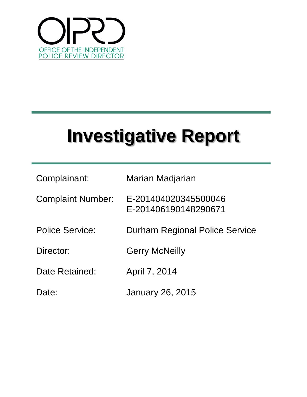

| Complainant:             | Marian Madjarian                             |
|--------------------------|----------------------------------------------|
| <b>Complaint Number:</b> | E-201404020345500046<br>E-201406190148290671 |
| <b>Police Service:</b>   | <b>Durham Regional Police Service</b>        |
| Director:                | <b>Gerry McNeilly</b>                        |
| Date Retained:           | April 7, 2014                                |
| Date:                    | January 26, 2015                             |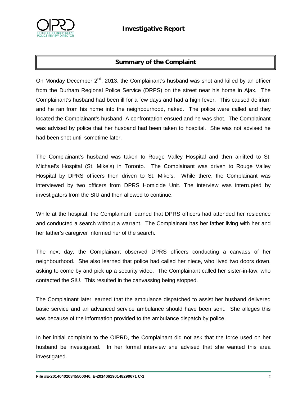

# **Summary of the Complaint**

On Monday December  $2^{nd}$ , 2013, the Complainant's husband was shot and killed by an officer from the Durham Regional Police Service (DRPS) on the street near his home in Ajax. The Complainant's husband had been ill for a few days and had a high fever. This caused delirium and he ran from his home into the neighbourhood, naked. The police were called and they located the Complainant's husband. A confrontation ensued and he was shot. The Complainant was advised by police that her husband had been taken to hospital. She was not advised he had been shot until sometime later.

The Complainant's husband was taken to Rouge Valley Hospital and then airlifted to St. Michael's Hospital (St. Mike's) in Toronto. The Complainant was driven to Rouge Valley Hospital by DPRS officers then driven to St. Mike's. While there, the Complainant was interviewed by two officers from DPRS Homicide Unit. The interview was interrupted by investigators from the SIU and then allowed to continue.

While at the hospital, the Complainant learned that DPRS officers had attended her residence and conducted a search without a warrant. The Complainant has her father living with her and her father's caregiver informed her of the search.

The next day, the Complainant observed DPRS officers conducting a canvass of her neighbourhood. She also learned that police had called her niece, who lived two doors down, asking to come by and pick up a security video. The Complainant called her sister-in-law, who contacted the SIU. This resulted in the canvassing being stopped.

The Complainant later learned that the ambulance dispatched to assist her husband delivered basic service and an advanced service ambulance should have been sent. She alleges this was because of the information provided to the ambulance dispatch by police.

In her initial complaint to the OIPRD, the Complainant did not ask that the force used on her husband be investigated. In her formal interview she advised that she wanted this area investigated.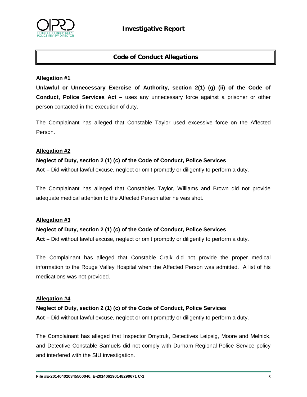

## **Code of Conduct Allegations**

#### **Allegation #1**

**Unlawful or Unnecessary Exercise of Authority, section 2(1) (g) (ii) of the Code of Conduct, Police Services Act –** uses any unnecessary force against a prisoner or other person contacted in the execution of duty.

The Complainant has alleged that Constable Taylor used excessive force on the Affected Person.

#### **Allegation #2**

#### **Neglect of Duty, section 2 (1) (c) of the Code of Conduct, Police Services**

**Act –** Did without lawful excuse, neglect or omit promptly or diligently to perform a duty.

The Complainant has alleged that Constables Taylor, Williams and Brown did not provide adequate medical attention to the Affected Person after he was shot.

#### **Allegation #3**

#### **Neglect of Duty, section 2 (1) (c) of the Code of Conduct, Police Services**

**Act –** Did without lawful excuse, neglect or omit promptly or diligently to perform a duty.

The Complainant has alleged that Constable Craik did not provide the proper medical information to the Rouge Valley Hospital when the Affected Person was admitted. A list of his medications was not provided.

#### **Allegation #4**

#### **Neglect of Duty, section 2 (1) (c) of the Code of Conduct, Police Services**

**Act –** Did without lawful excuse, neglect or omit promptly or diligently to perform a duty.

The Complainant has alleged that Inspector Dmytruk, Detectives Leipsig, Moore and Melnick, and Detective Constable Samuels did not comply with Durham Regional Police Service policy and interfered with the SIU investigation.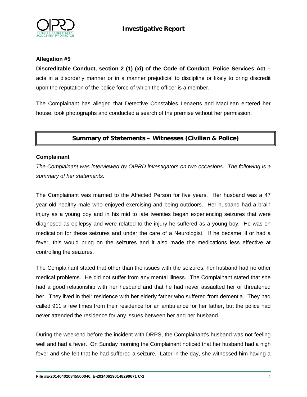

#### **Allegation #5**

**Discreditable Conduct, section 2 (1) (xi) of the Code of Conduct, Police Services Act –** acts in a disorderly manner or in a manner prejudicial to discipline or likely to bring discredit upon the reputation of the police force of which the officer is a member.

The Complainant has alleged that Detective Constables Lenaerts and MacLean entered her house, took photographs and conducted a search of the premise without her permission.

## **Summary of Statements – Witnesses (Civilian & Police)**

#### **Complainant**

*The Complainant was interviewed by OIPRD investigators on two occasions. The following is a summary of her statements.* 

The Complainant was married to the Affected Person for five years. Her husband was a 47 year old healthy male who enjoyed exercising and being outdoors. Her husband had a brain injury as a young boy and in his mid to late twenties began experiencing seizures that were diagnosed as epilepsy and were related to the injury he suffered as a young boy. He was on medication for these seizures and under the care of a Neurologist. If he became ill or had a fever, this would bring on the seizures and it also made the medications less effective at controlling the seizures.

The Complainant stated that other than the issues with the seizures, her husband had no other medical problems. He did not suffer from any mental illness. The Complainant stated that she had a good relationship with her husband and that he had never assaulted her or threatened her. They lived in their residence with her elderly father who suffered from dementia. They had called 911 a few times from their residence for an ambulance for her father, but the police had never attended the residence for any issues between her and her husband.

During the weekend before the incident with DRPS, the Complainant's husband was not feeling well and had a fever. On Sunday morning the Complainant noticed that her husband had a high fever and she felt that he had suffered a seizure. Later in the day, she witnessed him having a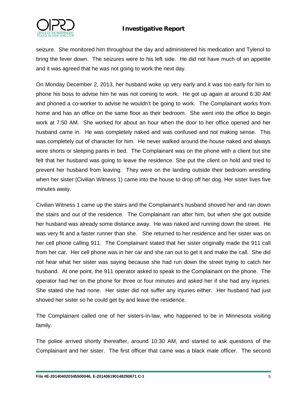

seizure. She monitored him throughout the day and administered his medication and Tylenol to bring the fever down. The seizures were to his left side. He did not have much of an appetite and it was agreed that he was not going to work the next day.

On Monday December 2, 2013, her husband woke up very early and it was too early for him to phone his boss to advise him he was not coming to work. He got up again at around 6:30 AM and phoned a co-worker to advise he wouldn't be going to work. The Complainant works from home and has an office on the same floor as their bedroom. She went into the office to begin work at 7:50 AM. She worked for about an hour when the door to her office opened and her husband came in. He was completely naked and was confused and not making sense. This was completely out of character for him. He never walked around the house naked and always wore shorts or sleeping pants in bed. The Complainant was on the phone with a client but she felt that her husband was going to leave the residence. She put the client on hold and tried to prevent her husband from leaving. They were on the landing outside their bedroom wrestling when her sister (Civilian Witness 1) came into the house to drop off her dog. Her sister lives five minutes away.

Civilian Witness 1 came up the stairs and the Complainant's husband shoved her and ran down the stairs and out of the residence. The Complainant ran after him, but when she got outside her husband was already some distance away. He was naked and running down the street. He was very fit and a faster runner than she. She returned to her residence and her sister was on her cell phone calling 911. The Complainant stated that her sister originally made the 911 call from her car. Her cell phone was in her car and she ran out to get it and make the call. She did not hear what her sister was saying because she had run down the street trying to catch her husband. At one point, the 911 operator asked to speak to the Complainant on the phone. The operator had her on the phone for three or four minutes and asked her if she had any injuries. She stated she had none. Her sister did not suffer any injuries either. Her husband had just shoved her sister so he could get by and leave the residence.

The Complainant called one of her sisters-in-law, who happened to be in Minnesota visiting family.

The police arrived shortly thereafter, around 10:30 AM, and started to ask questions of the Complainant and her sister. The first officer that came was a black male officer. The second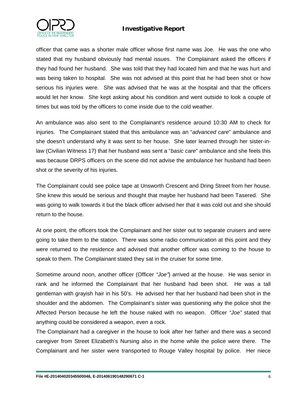

officer that came was a shorter male officer whose first name was Joe. He was the one who stated that my husband obviously had mental issues. The Complainant asked the officers if they had found her husband. She was told that they had located him and that he was hurt and was being taken to hospital. She was not advised at this point that he had been shot or how serious his injuries were. She was advised that he was at the hospital and that the officers would let her know. She kept asking about his condition and went outside to look a couple of times but was told by the officers to come inside due to the cold weather.

An ambulance was also sent to the Complainant's residence around 10:30 AM to check for injuries. The Complainant stated that this ambulance was an "*advanced care*" ambulance and she doesn't understand why it was sent to her house. She later learned through her sister-inlaw (Civilian Witness 17) that her husband was sent a "*basic care*" ambulance and she feels this was because DRPS officers on the scene did not advise the ambulance her husband had been shot or the severity of his injuries.

The Complainant could see police tape at Unsworth Crescent and Dring Street from her house. She knew this would be serious and thought that maybe her husband had been Tasered. She was going to walk towards it but the black officer advised her that it was cold out and she should return to the house.

At one point, the officers took the Complainant and her sister out to separate cruisers and were going to take them to the station. There was some radio communication at this point and they were returned to the residence and advised that another officer was coming to the house to speak to them. The Complainant stated they sat in the cruiser for some time.

Sometime around noon, another officer (Officer *"Joe"*) arrived at the house. He was senior in rank and he informed the Complainant that her husband had been shot. He was a tall gentleman with grayish hair in his 50's. He advised her that her husband had been shot in the shoulder and the abdomen. The Complainant's sister was questioning why the police shot the Affected Person because he left the house naked with no weapon. Officer *"Joe"* stated that anything could be considered a weapon, even a rock.

The Complainant had a caregiver in the house to look after her father and there was a second caregiver from Street Elizabeth's Nursing also in the home while the police were there. The Complainant and her sister were transported to Rouge Valley hospital by police. Her niece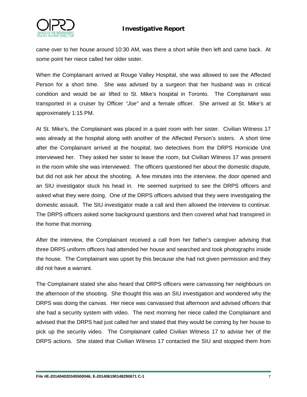

came over to her house around 10:30 AM, was there a short while then left and came back. At some point her niece called her older sister.

When the Complainant arrived at Rouge Valley Hospital, she was allowed to see the Affected Person for a short time. She was advised by a surgeon that her husband was in critical condition and would be air lifted to St. Mike's hospital in Toronto. The Complainant was transported in a cruiser by Officer *"Joe"* and a female officer. She arrived at St. Mike's at approximately 1:15 PM.

At St. Mike's, the Complainant was placed in a quiet room with her sister. Civilian Witness 17 was already at the hospital along with another of the Affected Person's sisters. A short time after the Complainant arrived at the hospital; two detectives from the DRPS Homicide Unit interviewed her. They asked her sister to leave the room, but Civilian Witness 17 was present in the room while she was interviewed. The officers questioned her about the domestic dispute, but did not ask her about the shooting. A few minutes into the interview, the door opened and an SIU investigator stuck his head in. He seemed surprised to see the DRPS officers and asked what they were doing. One of the DRPS officers advised that they were investigating the domestic assault. The SIU investigator made a call and then allowed the interview to continue. The DRPS officers asked some background questions and then covered what had transpired in the home that morning.

After the interview, the Complainant received a call from her father's caregiver advising that three DRPS uniform officers had attended her house and searched and took photographs inside the house. The Complainant was upset by this because she had not given permission and they did not have a warrant.

The Complainant stated she also heard that DRPS officers were canvassing her neighbours on the afternoon of the shooting. She thought this was an SIU investigation and wondered why the DRPS was doing the canvas. Her niece was canvassed that afternoon and advised officers that she had a security system with video. The next morning her niece called the Complainant and advised that the DRPS had just called her and stated that they would be coming by her house to pick up the security video. The Complainant called Civilian Witness 17 to advise her of the DRPS actions. She stated that Civilian Witness 17 contacted the SIU and stopped them from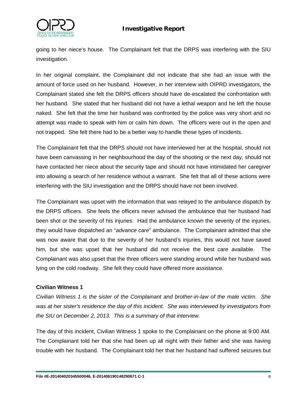

going to her niece's house. The Complainant felt that the DRPS was interfering with the SIU investigation.

In her original complaint, the Complainant did not indicate that she had an issue with the amount of force used on her husband. However, in her interview with OIPRD investigators, the Complainant stated she felt the DRPS officers should have de-escalated the confrontation with her husband. She stated that her husband did not have a lethal weapon and he left the house naked. She felt that the time her husband was confronted by the police was very short and no attempt was made to speak with him or calm him down. The officers were out in the open and not trapped. She felt there had to be a better way to handle these types of incidents.

The Complainant felt that the DRPS should not have interviewed her at the hospital, should not have been canvassing in her neighbourhood the day of the shooting or the next day, should not have contacted her niece about the security tape and should not have intimidated her caregiver into allowing a search of her residence without a warrant. She felt that all of these actions were interfering with the SIU investigation and the DRPS should have not been involved.

The Complainant was upset with the information that was relayed to the ambulance dispatch by the DRPS officers. She feels the officers never advised the ambulance that her husband had been shot or the severity of his injuries. Had the ambulance known the severity of the injuries, they would have dispatched an "*advance care*" ambulance. The Complainant admitted that she was now aware that due to the severity of her husband's injuries, this would not have saved him, but she was upset that her husband did not receive the best care available. The Complainant was also upset that the three officers were standing around while her husband was lying on the cold roadway. She felt they could have offered more assistance.

#### **Civilian Witness 1**

*Civilian Witness 1 is the sister of the Complainant and brother-in-law of the male victim. She was at her sister's residence the day of this incident. She was interviewed by investigators from the SIU on December 2, 2013. This is a summary of that interview.*

The day of this incident, Civilian Witness 1 spoke to the Complainant on the phone at 9:00 AM. The Complainant told her that she had been up all night with their father and she was having trouble with her husband. The Complainant told her that her husband had suffered seizures but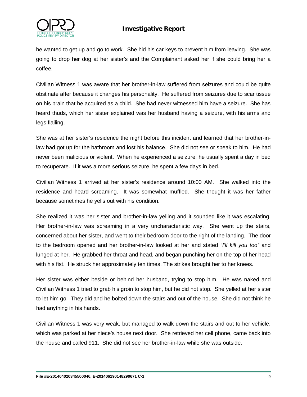

he wanted to get up and go to work. She hid his car keys to prevent him from leaving. She was going to drop her dog at her sister's and the Complainant asked her if she could bring her a coffee.

Civilian Witness 1 was aware that her brother-in-law suffered from seizures and could be quite obstinate after because it changes his personality. He suffered from seizures due to scar tissue on his brain that he acquired as a child. She had never witnessed him have a seizure. She has heard thuds, which her sister explained was her husband having a seizure, with his arms and legs flailing.

She was at her sister's residence the night before this incident and learned that her brother-inlaw had got up for the bathroom and lost his balance. She did not see or speak to him. He had never been malicious or violent. When he experienced a seizure, he usually spent a day in bed to recuperate. If it was a more serious seizure, he spent a few days in bed.

Civilian Witness 1 arrived at her sister's residence around 10:00 AM. She walked into the residence and heard screaming. It was somewhat muffled. She thought it was her father because sometimes he yells out with his condition.

She realized it was her sister and brother-in-law yelling and it sounded like it was escalating. Her brother-in-law was screaming in a very uncharacteristic way. She went up the stairs, concerned about her sister, and went to their bedroom door to the right of the landing. The door to the bedroom opened and her brother-in-law looked at her and stated *"I'll kill you too"* and lunged at her. He grabbed her throat and head, and began punching her on the top of her head with his fist. He struck her approximately ten times. The strikes brought her to her knees.

Her sister was either beside or behind her husband, trying to stop him. He was naked and Civilian Witness 1 tried to grab his groin to stop him, but he did not stop. She yelled at her sister to let him go. They did and he bolted down the stairs and out of the house. She did not think he had anything in his hands.

Civilian Witness 1 was very weak, but managed to walk down the stairs and out to her vehicle, which was parked at her niece's house next door. She retrieved her cell phone, came back into the house and called 911. She did not see her brother-in-law while she was outside.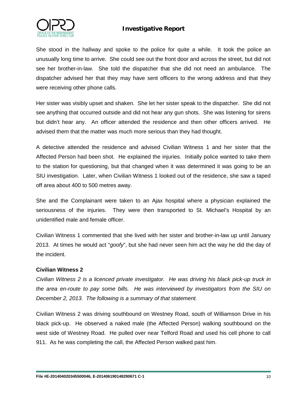

She stood in the hallway and spoke to the police for quite a while. It took the police an unusually long time to arrive. She could see out the front door and across the street, but did not see her brother-in-law. She told the dispatcher that she did not need an ambulance. The dispatcher advised her that they may have sent officers to the wrong address and that they were receiving other phone calls.

Her sister was visibly upset and shaken. She let her sister speak to the dispatcher. She did not see anything that occurred outside and did not hear any gun shots. She was listening for sirens but didn't hear any. An officer attended the residence and then other officers arrived. He advised them that the matter was much more serious than they had thought.

A detective attended the residence and advised Civilian Witness 1 and her sister that the Affected Person had been shot. He explained the injuries. Initially police wanted to take them to the station for questioning, but that changed when it was determined it was going to be an SIU investigation. Later, when Civilian Witness 1 looked out of the residence, she saw a taped off area about 400 to 500 metres away.

She and the Complainant were taken to an Ajax hospital where a physician explained the seriousness of the injuries. They were then transported to St. Michael's Hospital by an unidentified male and female officer.

Civilian Witness 1 commented that she lived with her sister and brother-in-law up until January 2013. At times he would act "*goofy*", but she had never seen him act the way he did the day of the incident.

#### **Civilian Witness 2**

*Civilian Witness 2 is a licenced private investigator. He was driving his black pick-up truck in the area en-route to pay some bills. He was interviewed by investigators from the SIU on December 2, 2013. The following is a summary of that statement.*

Civilian Witness 2 was driving southbound on Westney Road, south of Williamson Drive in his black pick-up. He observed a naked male (the Affected Person) walking southbound on the west side of Westney Road. He pulled over near Telford Road and used his cell phone to call 911. As he was completing the call, the Affected Person walked past him.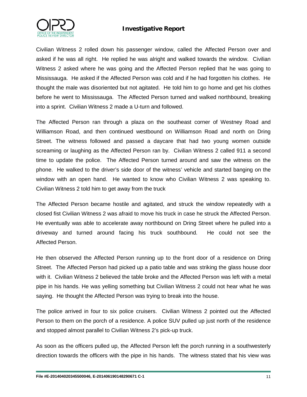

Civilian Witness 2 rolled down his passenger window, called the Affected Person over and asked if he was all right. He replied he was alright and walked towards the window. Civilian Witness 2 asked where he was going and the Affected Person replied that he was going to Mississauga. He asked if the Affected Person was cold and if he had forgotten his clothes. He thought the male was disoriented but not agitated. He told him to go home and get his clothes before he went to Mississauga. The Affected Person turned and walked northbound, breaking into a sprint. Civilian Witness 2 made a U-turn and followed.

The Affected Person ran through a plaza on the southeast corner of Westney Road and Williamson Road, and then continued westbound on Williamson Road and north on Dring Street. The witness followed and passed a daycare that had two young women outside screaming or laughing as the Affected Person ran by. Civilian Witness 2 called 911 a second time to update the police. The Affected Person turned around and saw the witness on the phone. He walked to the driver's side door of the witness' vehicle and started banging on the window with an open hand. He wanted to know who Civilian Witness 2 was speaking to. Civilian Witness 2 told him to get away from the truck

The Affected Person became hostile and agitated, and struck the window repeatedly with a closed fist Civilian Witness 2 was afraid to move his truck in case he struck the Affected Person. He eventually was able to accelerate away northbound on Dring Street where he pulled into a driveway and turned around facing his truck southbound. He could not see the Affected Person.

He then observed the Affected Person running up to the front door of a residence on Dring Street. The Affected Person had picked up a patio table and was striking the glass house door with it. Civilian Witness 2 believed the table broke and the Affected Person was left with a metal pipe in his hands. He was yelling something but Civilian Witness 2 could not hear what he was saying. He thought the Affected Person was trying to break into the house.

The police arrived in four to six police cruisers. Civilian Witness 2 pointed out the Affected Person to them on the porch of a residence. A police SUV pulled up just north of the residence and stopped almost parallel to Civilian Witness 2's pick-up truck.

As soon as the officers pulled up, the Affected Person left the porch running in a southwesterly direction towards the officers with the pipe in his hands. The witness stated that his view was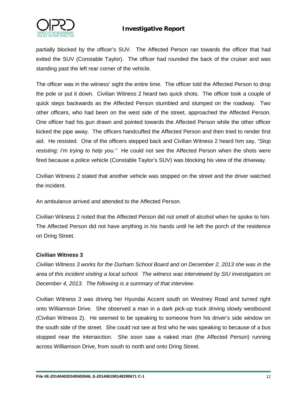

partially blocked by the officer's SUV. The Affected Person ran towards the officer that had exited the SUV (Constable Taylor). The officer had rounded the back of the cruiser and was standing past the left rear corner of the vehicle.

The officer was in the witness' sight the entire time. The officer told the Affected Person to drop the pole or put it down. Civilian Witness 2 heard two quick shots. The officer took a couple of quick steps backwards as the Affected Person stumbled and slumped on the roadway. Two other officers, who had been on the west side of the street, approached the Affected Person. One officer had his gun drawn and pointed towards the Affected Person while the other officer kicked the pipe away. The officers handcuffed the Affected Person and then tried to render first aid. He resisted. One of the officers stepped back and Civilian Witness 2 heard him say, *"Stop resisting; I'm trying to help you."* He could not see the Affected Person when the shots were fired because a police vehicle (Constable Taylor's SUV) was blocking his view of the driveway.

Civilian Witness 2 stated that another vehicle was stopped on the street and the driver watched the incident.

An ambulance arrived and attended to the Affected Person.

Civilian Witness 2 noted that the Affected Person did not smell of alcohol when he spoke to him. The Affected Person did not have anything in his hands until he left the porch of the residence on Dring Street.

#### **Civilian Witness 3**

*Civilian Witness 3 works for the Durham School Board and on December 2, 2013 she was in the area of this incident visiting a local school. The witness was interviewed by SIU investigators on December 4, 2013. The following is a summary of that interview.*

Civilian Witness 3 was driving her Hyundai Accent south on Westney Road and turned right onto Williamson Drive. She observed a man in a dark pick-up truck driving slowly westbound (Civilian Witness 2). He seemed to be speaking to someone from his driver's side window on the south side of the street. She could not see at first who he was speaking to because of a bus stopped near the intersection. She soon saw a naked man (the Affected Person) running across Williamson Drive, from south to north and onto Dring Street.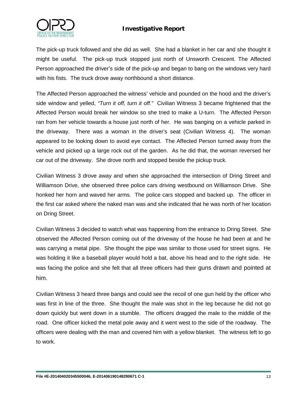



The pick-up truck followed and she did as well. She had a blanket in her car and she thought it might be useful. The pick-up truck stopped just north of Unsworth Crescent. The Affected Person approached the driver's side of the pick-up and began to bang on the windows very hard with his fists. The truck drove away northbound a short distance.

The Affected Person approached the witness' vehicle and pounded on the hood and the driver's side window and yelled, *"Turn it off, turn it off."* Civilian Witness 3 became frightened that the Affected Person would break her window so she tried to make a U-turn. The Affected Person ran from her vehicle towards a house just north of her. He was banging on a vehicle parked in the driveway. There was a woman in the driver's seat (Civilian Witness 4). The woman appeared to be looking down to avoid eye contact. The Affected Person turned away from the vehicle and picked up a large rock out of the garden. As he did that, the woman reversed her car out of the driveway. She drove north and stopped beside the pickup truck.

Civilian Witness 3 drove away and when she approached the intersection of Dring Street and Williamson Drive, she observed three police cars driving westbound on Williamson Drive. She honked her horn and waved her arms. The police cars stopped and backed up. The officer in the first car asked where the naked man was and she indicated that he was north of her location on Dring Street.

Civilian Witness 3 decided to watch what was happening from the entrance to Dring Street. She observed the Affected Person coming out of the driveway of the house he had been at and he was carrying a metal pipe. She thought the pipe was similar to those used for street signs. He was holding it like a baseball player would hold a bat, above his head and to the right side. He was facing the police and she felt that all three officers had their guns drawn and pointed at him.

Civilian Witness 3 heard three bangs and could see the recoil of one gun held by the officer who was first in line of the three. She thought the male was shot in the leg because he did not go down quickly but went down in a stumble. The officers dragged the male to the middle of the road. One officer kicked the metal pole away and it went west to the side of the roadway. The officers were dealing with the man and covered him with a yellow blanket. The witness left to go to work.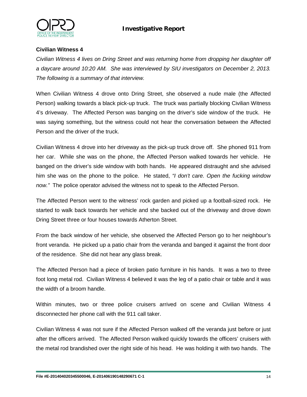

## **Civilian Witness 4**

*Civilian Witness 4 lives on Dring Street and was returning home from dropping her daughter off a daycare around 10:20 AM. She was interviewed by SIU investigators on December 2, 2013. The following is a summary of that interview.*

When Civilian Witness 4 drove onto Dring Street, she observed a nude male (the Affected Person) walking towards a black pick-up truck. The truck was partially blocking Civilian Witness 4's driveway. The Affected Person was banging on the driver's side window of the truck. He was saying something, but the witness could not hear the conversation between the Affected Person and the driver of the truck.

Civilian Witness 4 drove into her driveway as the pick-up truck drove off. She phoned 911 from her car. While she was on the phone, the Affected Person walked towards her vehicle. He banged on the driver's side window with both hands. He appeared distraught and she advised him she was on the phone to the police. He stated, *"I don't care. Open the fucking window now."* The police operator advised the witness not to speak to the Affected Person.

The Affected Person went to the witness' rock garden and picked up a football-sized rock. He started to walk back towards her vehicle and she backed out of the driveway and drove down Dring Street three or four houses towards Atherton Street.

From the back window of her vehicle, she observed the Affected Person go to her neighbour's front veranda. He picked up a patio chair from the veranda and banged it against the front door of the residence. She did not hear any glass break.

The Affected Person had a piece of broken patio furniture in his hands. It was a two to three foot long metal rod. Civilian Witness 4 believed it was the leg of a patio chair or table and it was the width of a broom handle.

Within minutes, two or three police cruisers arrived on scene and Civilian Witness 4 disconnected her phone call with the 911 call taker.

Civilian Witness 4 was not sure if the Affected Person walked off the veranda just before or just after the officers arrived. The Affected Person walked quickly towards the officers' cruisers with the metal rod brandished over the right side of his head. He was holding it with two hands. The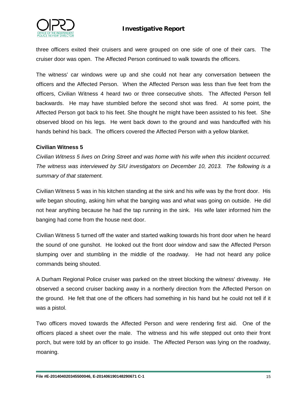

three officers exited their cruisers and were grouped on one side of one of their cars. The cruiser door was open. The Affected Person continued to walk towards the officers.

The witness' car windows were up and she could not hear any conversation between the officers and the Affected Person. When the Affected Person was less than five feet from the officers, Civilian Witness 4 heard two or three consecutive shots. The Affected Person fell backwards. He may have stumbled before the second shot was fired. At some point, the Affected Person got back to his feet. She thought he might have been assisted to his feet. She observed blood on his legs. He went back down to the ground and was handcuffed with his hands behind his back. The officers covered the Affected Person with a yellow blanket.

#### **Civilian Witness 5**

*Civilian Witness 5 lives on Dring Street and was home with his wife when this incident occurred. The witness was interviewed by SIU investigators on December 10, 2013. The following is a summary of that statement.*

Civilian Witness 5 was in his kitchen standing at the sink and his wife was by the front door. His wife began shouting, asking him what the banging was and what was going on outside. He did not hear anything because he had the tap running in the sink. His wife later informed him the banging had come from the house next door.

Civilian Witness 5 turned off the water and started walking towards his front door when he heard the sound of one gunshot. He looked out the front door window and saw the Affected Person slumping over and stumbling in the middle of the roadway. He had not heard any police commands being shouted.

A Durham Regional Police cruiser was parked on the street blocking the witness' driveway. He observed a second cruiser backing away in a northerly direction from the Affected Person on the ground. He felt that one of the officers had something in his hand but he could not tell if it was a pistol.

Two officers moved towards the Affected Person and were rendering first aid. One of the officers placed a sheet over the male. The witness and his wife stepped out onto their front porch, but were told by an officer to go inside. The Affected Person was lying on the roadway, moaning.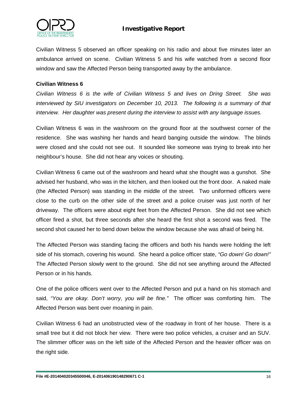

Civilian Witness 5 observed an officer speaking on his radio and about five minutes later an ambulance arrived on scene. Civilian Witness 5 and his wife watched from a second floor window and saw the Affected Person being transported away by the ambulance.

## **Civilian Witness 6**

*Civilian Witness 6 is the wife of Civilian Witness 5 and lives on Dring Street. She was interviewed by SIU investigators on December 10, 2013. The following is a summary of that interview. Her daughter was present during the interview to assist with any language issues.*

Civilian Witness 6 was in the washroom on the ground floor at the southwest corner of the residence. She was washing her hands and heard banging outside the window. The blinds were closed and she could not see out. It sounded like someone was trying to break into her neighbour's house. She did not hear any voices or shouting.

Civilian Witness 6 came out of the washroom and heard what she thought was a gunshot. She advised her husband, who was in the kitchen, and then looked out the front door. A naked male (the Affected Person) was standing in the middle of the street. Two uniformed officers were close to the curb on the other side of the street and a police cruiser was just north of her driveway. The officers were about eight feet from the Affected Person. She did not see which officer fired a shot, but three seconds after she heard the first shot a second was fired. The second shot caused her to bend down below the window because she was afraid of being hit.

The Affected Person was standing facing the officers and both his hands were holding the left side of his stomach, covering his wound. She heard a police officer state, *"Go down! Go down!"* The Affected Person slowly went to the ground. She did not see anything around the Affected Person or in his hands.

One of the police officers went over to the Affected Person and put a hand on his stomach and said, *"You are okay. Don't worry, you will be fine."* The officer was comforting him. The Affected Person was bent over moaning in pain.

Civilian Witness 6 had an unobstructed view of the roadway in front of her house. There is a small tree but it did not block her view. There were two police vehicles, a cruiser and an SUV. The slimmer officer was on the left side of the Affected Person and the heavier officer was on the right side.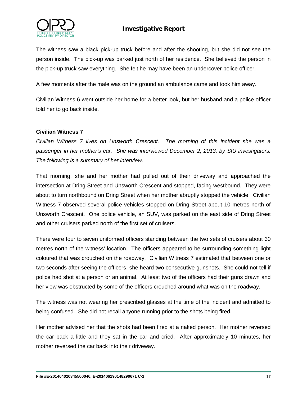

The witness saw a black pick-up truck before and after the shooting, but she did not see the person inside. The pick-up was parked just north of her residence. She believed the person in the pick-up truck saw everything. She felt he may have been an undercover police officer.

A few moments after the male was on the ground an ambulance came and took him away.

Civilian Witness 6 went outside her home for a better look, but her husband and a police officer told her to go back inside.

## **Civilian Witness 7**

*Civilian Witness 7 lives on Unsworth Crescent. The morning of this incident she was a passenger in her mother's car. She was interviewed December 2, 2013, by SIU investigators. The following is a summary of her interview.*

That morning, she and her mother had pulled out of their driveway and approached the intersection at Dring Street and Unsworth Crescent and stopped, facing westbound. They were about to turn northbound on Dring Street when her mother abruptly stopped the vehicle. Civilian Witness 7 observed several police vehicles stopped on Dring Street about 10 metres north of Unsworth Crescent. One police vehicle, an SUV, was parked on the east side of Dring Street and other cruisers parked north of the first set of cruisers.

There were four to seven uniformed officers standing between the two sets of cruisers about 30 metres north of the witness' location. The officers appeared to be surrounding something light coloured that was crouched on the roadway. Civilian Witness 7 estimated that between one or two seconds after seeing the officers, she heard two consecutive gunshots. She could not tell if police had shot at a person or an animal. At least two of the officers had their guns drawn and her view was obstructed by some of the officers crouched around what was on the roadway.

The witness was not wearing her prescribed glasses at the time of the incident and admitted to being confused. She did not recall anyone running prior to the shots being fired.

Her mother advised her that the shots had been fired at a naked person. Her mother reversed the car back a little and they sat in the car and cried. After approximately 10 minutes, her mother reversed the car back into their driveway.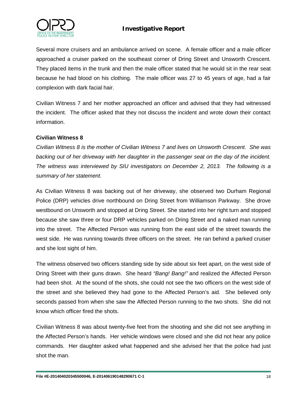

Several more cruisers and an ambulance arrived on scene. A female officer and a male officer approached a cruiser parked on the southeast corner of Dring Street and Unsworth Crescent. They placed items in the trunk and then the male officer stated that he would sit in the rear seat because he had blood on his clothing. The male officer was 27 to 45 years of age, had a fair complexion with dark facial hair.

Civilian Witness 7 and her mother approached an officer and advised that they had witnessed the incident. The officer asked that they not discuss the incident and wrote down their contact information.

## **Civilian Witness 8**

*Civilian Witness 8 is the mother of Civilian Witness 7 and lives on Unsworth Crescent. She was backing out of her driveway with her daughter in the passenger seat on the day of the incident. The witness was interviewed by SIU investigators on December 2, 2013. The following is a summary of her statement.*

As Civilian Witness 8 was backing out of her driveway, she observed two Durham Regional Police (DRP) vehicles drive northbound on Dring Street from Williamson Parkway. She drove westbound on Unsworth and stopped at Dring Street. She started into her right turn and stopped because she saw three or four DRP vehicles parked on Dring Street and a naked man running into the street. The Affected Person was running from the east side of the street towards the west side. He was running towards three officers on the street. He ran behind a parked cruiser and she lost sight of him.

The witness observed two officers standing side by side about six feet apart, on the west side of Dring Street with their guns drawn. She heard *"Bang! Bang!"* and realized the Affected Person had been shot. At the sound of the shots, she could not see the two officers on the west side of the street and she believed they had gone to the Affected Person's aid. She believed only seconds passed from when she saw the Affected Person running to the two shots. She did not know which officer fired the shots.

Civilian Witness 8 was about twenty-five feet from the shooting and she did not see anything in the Affected Person's hands. Her vehicle windows were closed and she did not hear any police commands. Her daughter asked what happened and she advised her that the police had just shot the man.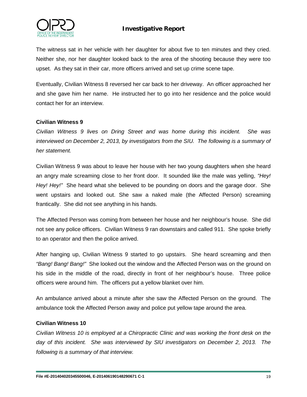

The witness sat in her vehicle with her daughter for about five to ten minutes and they cried. Neither she, nor her daughter looked back to the area of the shooting because they were too upset. As they sat in their car, more officers arrived and set up crime scene tape.

Eventually, Civilian Witness 8 reversed her car back to her driveway. An officer approached her and she gave him her name. He instructed her to go into her residence and the police would contact her for an interview.

## **Civilian Witness 9**

*Civilian Witness 9 lives on Dring Street and was home during this incident. She was*  interviewed on December 2, 2013, by investigators from the SIU. The following is a summary of *her statement.*

Civilian Witness 9 was about to leave her house with her two young daughters when she heard an angry male screaming close to her front door. It sounded like the male was yelling, *"Hey! Hey! Hey!"* She heard what she believed to be pounding on doors and the garage door. She went upstairs and looked out. She saw a naked male (the Affected Person) screaming frantically. She did not see anything in his hands.

The Affected Person was coming from between her house and her neighbour's house. She did not see any police officers. Civilian Witness 9 ran downstairs and called 911. She spoke briefly to an operator and then the police arrived.

After hanging up, Civilian Witness 9 started to go upstairs. She heard screaming and then *"Bang! Bang! Bang!"* She looked out the window and the Affected Person was on the ground on his side in the middle of the road, directly in front of her neighbour's house. Three police officers were around him. The officers put a yellow blanket over him.

An ambulance arrived about a minute after she saw the Affected Person on the ground. The ambulance took the Affected Person away and police put yellow tape around the area.

#### **Civilian Witness 10**

*Civilian Witness 10 is employed at a Chiropractic Clinic and was working the front desk on the day of this incident. She was interviewed by SIU investigators on December 2, 2013. The following is a summary of that interview.*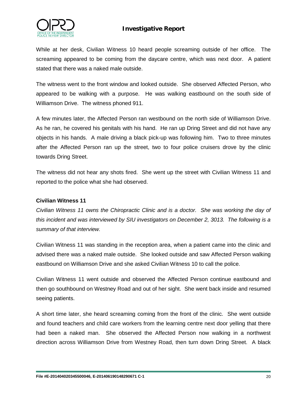

While at her desk, Civilian Witness 10 heard people screaming outside of her office. The screaming appeared to be coming from the daycare centre, which was next door. A patient stated that there was a naked male outside.

The witness went to the front window and looked outside. She observed Affected Person, who appeared to be walking with a purpose. He was walking eastbound on the south side of Williamson Drive. The witness phoned 911.

A few minutes later, the Affected Person ran westbound on the north side of Williamson Drive. As he ran, he covered his genitals with his hand. He ran up Dring Street and did not have any objects in his hands. A male driving a black pick-up was following him. Two to three minutes after the Affected Person ran up the street, two to four police cruisers drove by the clinic towards Dring Street.

The witness did not hear any shots fired. She went up the street with Civilian Witness 11 and reported to the police what she had observed.

#### **Civilian Witness 11**

*Civilian Witness 11 owns the Chiropractic Clinic and is a doctor. She was working the day of this incident and was interviewed by SIU investigators on December 2, 3013. The following is a summary of that interview.* 

Civilian Witness 11 was standing in the reception area, when a patient came into the clinic and advised there was a naked male outside. She looked outside and saw Affected Person walking eastbound on Williamson Drive and she asked Civilian Witness 10 to call the police.

Civilian Witness 11 went outside and observed the Affected Person continue eastbound and then go southbound on Westney Road and out of her sight. She went back inside and resumed seeing patients.

A short time later, she heard screaming coming from the front of the clinic. She went outside and found teachers and child care workers from the learning centre next door yelling that there had been a naked man. She observed the Affected Person now walking in a northwest direction across Williamson Drive from Westney Road, then turn down Dring Street. A black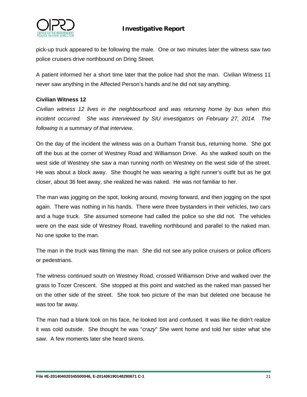

pick-up truck appeared to be following the male. One or two minutes later the witness saw two police cruisers drive northbound on Dring Street.

A patient informed her a short time later that the police had shot the man. Civilian Witness 11 never saw anything in the Affected Person's hands and he did not say anything.

## **Civilian Witness 12**

*Civilian witness 12 lives in the neighbourhood and was returning home by bus when this incident occurred. She was interviewed by SIU investigators on February 27, 2014. The following is a summary of that interview.*

On the day of the incident the witness was on a Durham Transit bus, returning home. She got off the bus at the corner of Westney Road and Williamson Drive. As she walked south on the west side of Westney she saw a man running north on Westney on the west side of the street. He was about a block away. She thought he was wearing a tight runner's outfit but as he got closer, about 36 feet away, she realized he was naked. He was not familiar to her.

The man was jogging on the spot, looking around, moving forward, and then jogging on the spot again. There was nothing in his hands. There were three bystanders in their vehicles, two cars and a huge truck. She assumed someone had called the police so she did not. The vehicles were on the east side of Westney Road, travelling northbound and parallel to the naked man. No one spoke to the man.

The man in the truck was filming the man. She did not see any police cruisers or police officers or pedestrians.

The witness continued south on Westney Road, crossed Williamson Drive and walked over the grass to Tozer Crescent. She stopped at this point and watched as the naked man passed her on the other side of the street. She took two picture of the man but deleted one because he was too far away.

The man had a blank look on his face, he looked lost and confused. It was like he didn't realize it was cold outside. She thought he was "*crazy*" She went home and told her sister what she saw. A few moments later she heard sirens.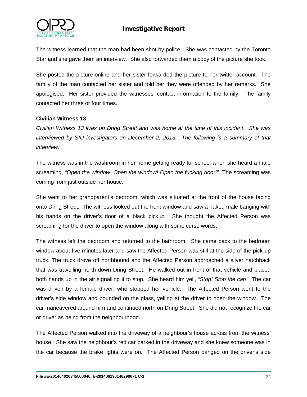



The witness learned that the man had been shot by police. She was contacted by the Toronto Star and she gave them an interview. She also forwarded them a copy of the picture she took.

She posted the picture online and her sister forwarded the picture to her twitter account. The family of the man contacted her sister and told her they were offended by her remarks. She apologised. Her sister provided the witnesses' contact information to the family. The family contacted her three or four times.

## **Civilian Witness 13**

*Civilian Witness 13 lives on Dring Street and was home at the time of this incident. She was interviewed by SIU investigators on December 2, 2013. The following is a summary of that interview.*

The witness was in the washroom in her home getting ready for school when she heard a male screaming, *"Open the window! Open the window! Open the fucking door!"* The screaming was coming from just outside her house.

She went to her grandparent's bedroom, which was situated at the front of the house facing onto Dring Street. The witness looked out the front window and saw a naked male banging with his hands on the driver's door of a black pickup. She thought the Affected Person was screaming for the driver to open the window along with some curse words.

The witness left the bedroom and returned to the bathroom. She came back to the bedroom window about five minutes later and saw the Affected Person was still at the side of the pick-up truck. The truck drove off northbound and the Affected Person approached a silver hatchback that was travelling north down Dring Street. He walked out in front of that vehicle and placed both hands up in the air signalling it to stop. She heard him yell, *"Stop! Stop the car!"* The car was driven by a female driver, who stopped her vehicle. The Affected Person went to the driver's side window and pounded on the glass, yelling at the driver to open the window. The car maneuvered around him and continued north on Dring Street. She did not recognize the car or driver as being from the neighbourhood.

The Affected Person walked into the driveway of a neighbour's house across from the witness' house. She saw the neighbour's red car parked in the driveway and she knew someone was in the car because the brake lights were on. The Affected Person banged on the driver's side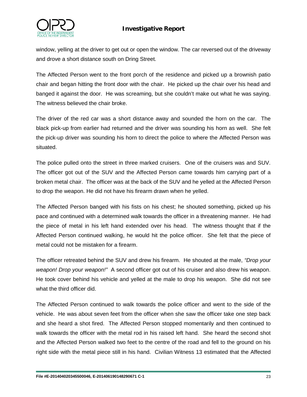

window, yelling at the driver to get out or open the window. The car reversed out of the driveway and drove a short distance south on Dring Street.

The Affected Person went to the front porch of the residence and picked up a brownish patio chair and began hitting the front door with the chair. He picked up the chair over his head and banged it against the door. He was screaming, but she couldn't make out what he was saying. The witness believed the chair broke.

The driver of the red car was a short distance away and sounded the horn on the car. The black pick-up from earlier had returned and the driver was sounding his horn as well. She felt the pick-up driver was sounding his horn to direct the police to where the Affected Person was situated.

The police pulled onto the street in three marked cruisers. One of the cruisers was and SUV. The officer got out of the SUV and the Affected Person came towards him carrying part of a broken metal chair. The officer was at the back of the SUV and he yelled at the Affected Person to drop the weapon. He did not have his firearm drawn when he yelled.

The Affected Person banged with his fists on his chest; he shouted something, picked up his pace and continued with a determined walk towards the officer in a threatening manner. He had the piece of metal in his left hand extended over his head. The witness thought that if the Affected Person continued walking, he would hit the police officer. She felt that the piece of metal could not be mistaken for a firearm.

The officer retreated behind the SUV and drew his firearm. He shouted at the male, *"Drop your weapon! Drop your weapon!"* A second officer got out of his cruiser and also drew his weapon. He took cover behind his vehicle and yelled at the male to drop his weapon. She did not see what the third officer did.

The Affected Person continued to walk towards the police officer and went to the side of the vehicle. He was about seven feet from the officer when she saw the officer take one step back and she heard a shot fired. The Affected Person stopped momentarily and then continued to walk towards the officer with the metal rod in his raised left hand. She heard the second shot and the Affected Person walked two feet to the centre of the road and fell to the ground on his right side with the metal piece still in his hand. Civilian Witness 13 estimated that the Affected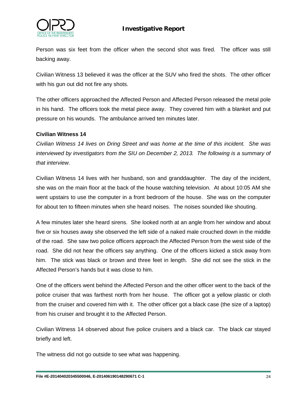

Person was six feet from the officer when the second shot was fired. The officer was still backing away.

Civilian Witness 13 believed it was the officer at the SUV who fired the shots. The other officer with his gun out did not fire any shots.

The other officers approached the Affected Person and Affected Person released the metal pole in his hand. The officers took the metal piece away. They covered him with a blanket and put pressure on his wounds. The ambulance arrived ten minutes later.

## **Civilian Witness 14**

*Civilian Witness 14 lives on Dring Street and was home at the time of this incident. She was interviewed by investigators from the SIU on December 2, 2013. The following is a summary of that interview.*

Civilian Witness 14 lives with her husband, son and granddaughter. The day of the incident, she was on the main floor at the back of the house watching television. At about 10:05 AM she went upstairs to use the computer in a front bedroom of the house. She was on the computer for about ten to fifteen minutes when she heard noises. The noises sounded like shouting.

A few minutes later she heard sirens. She looked north at an angle from her window and about five or six houses away she observed the left side of a naked male crouched down in the middle of the road. She saw two police officers approach the Affected Person from the west side of the road. She did not hear the officers say anything. One of the officers kicked a stick away from him. The stick was black or brown and three feet in length. She did not see the stick in the Affected Person's hands but it was close to him.

One of the officers went behind the Affected Person and the other officer went to the back of the police cruiser that was farthest north from her house. The officer got a yellow plastic or cloth from the cruiser and covered him with it. The other officer got a black case (the size of a laptop) from his cruiser and brought it to the Affected Person.

Civilian Witness 14 observed about five police cruisers and a black car. The black car stayed briefly and left.

The witness did not go outside to see what was happening.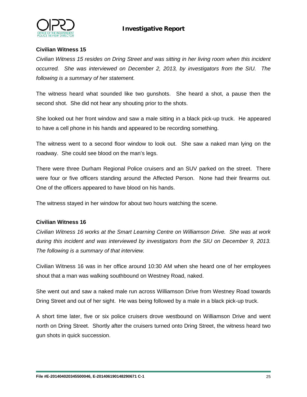

## **Civilian Witness 15**

*Civilian Witness 15 resides on Dring Street and was sitting in her living room when this incident occurred. She was interviewed on December 2, 2013, by investigators from the SIU. The following is a summary of her statement.*

The witness heard what sounded like two gunshots. She heard a shot, a pause then the second shot. She did not hear any shouting prior to the shots.

She looked out her front window and saw a male sitting in a black pick-up truck. He appeared to have a cell phone in his hands and appeared to be recording something.

The witness went to a second floor window to look out. She saw a naked man lying on the roadway. She could see blood on the man's legs.

There were three Durham Regional Police cruisers and an SUV parked on the street. There were four or five officers standing around the Affected Person. None had their firearms out. One of the officers appeared to have blood on his hands.

The witness stayed in her window for about two hours watching the scene.

#### **Civilian Witness 16**

*Civilian Witness 16 works at the Smart Learning Centre on Williamson Drive. She was at work during this incident and was interviewed by investigators from the SIU on December 9, 2013. The following is a summary of that interview.*

Civilian Witness 16 was in her office around 10:30 AM when she heard one of her employees shout that a man was walking southbound on Westney Road, naked.

She went out and saw a naked male run across Williamson Drive from Westney Road towards Dring Street and out of her sight. He was being followed by a male in a black pick-up truck.

A short time later, five or six police cruisers drove westbound on Williamson Drive and went north on Dring Street. Shortly after the cruisers turned onto Dring Street, the witness heard two gun shots in quick succession.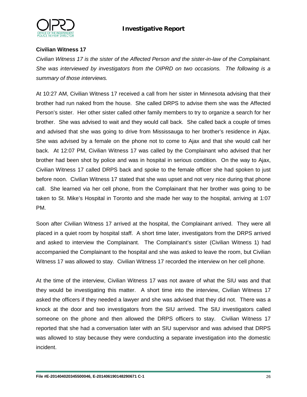

## **Civilian Witness 17**

*Civilian Witness 17 is the sister of the Affected Person and the sister-in-law of the Complainant. She was interviewed by investigators from the OIPRD on two occasions. The following is a summary of those interviews.*

At 10:27 AM, Civilian Witness 17 received a call from her sister in Minnesota advising that their brother had run naked from the house. She called DRPS to advise them she was the Affected Person's sister. Her other sister called other family members to try to organize a search for her brother. She was advised to wait and they would call back. She called back a couple of times and advised that she was going to drive from Mississauga to her brother's residence in Ajax. She was advised by a female on the phone not to come to Ajax and that she would call her back. At 12:07 PM, Civilian Witness 17 was called by the Complainant who advised that her brother had been shot by police and was in hospital in serious condition. On the way to Ajax, Civilian Witness 17 called DRPS back and spoke to the female officer she had spoken to just before noon. Civilian Witness 17 stated that she was upset and not very nice during that phone call. She learned via her cell phone, from the Complainant that her brother was going to be taken to St. Mike's Hospital in Toronto and she made her way to the hospital, arriving at 1:07 PM.

Soon after Civilian Witness 17 arrived at the hospital, the Complainant arrived. They were all placed in a quiet room by hospital staff. A short time later, investigators from the DRPS arrived and asked to interview the Complainant. The Complainant's sister (Civilian Witness 1) had accompanied the Complainant to the hospital and she was asked to leave the room, but Civilian Witness 17 was allowed to stay. Civilian Witness 17 recorded the interview on her cell phone.

At the time of the interview, Civilian Witness 17 was not aware of what the SIU was and that they would be investigating this matter. A short time into the interview, Civilian Witness 17 asked the officers if they needed a lawyer and she was advised that they did not. There was a knock at the door and two investigators from the SIU arrived. The SIU investigators called someone on the phone and then allowed the DRPS officers to stay. Civilian Witness 17 reported that she had a conversation later with an SIU supervisor and was advised that DRPS was allowed to stay because they were conducting a separate investigation into the domestic incident.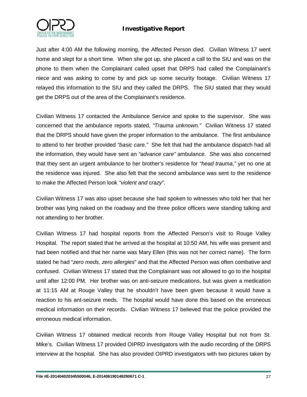

Just after 4:00 AM the following morning, the Affected Person died. Civilian Witness 17 went home and slept for a short time. When she got up, she placed a call to the SIU and was on the phone to them when the Complainant called upset that DRPS had called the Complainant's niece and was asking to come by and pick up some security footage. Civilian Witness 17 relayed this information to the SIU and they called the DRPS. The SIU stated that they would get the DRPS out of the area of the Complainant's residence.

Civilian Witness 17 contacted the Ambulance Service and spoke to the supervisor. She was concerned that the ambulance reports stated, *"Trauma unknown."* Civilian Witness 17 stated that the DRPS should have given the proper information to the ambulance. The first ambulance to attend to her brother provided *"basic care."* She felt that had the ambulance dispatch had all the information, they would have sent an *"advance care"* ambulance. She was also concerned that they sent an urgent ambulance to her brother's residence for *"head trauma,"* yet no one at the residence was injured. She also felt that the second ambulance was sent to the residence to make the Affected Person look *"violent and crazy*".

Civilian Witness 17 was also upset because she had spoken to witnesses who told her that her brother was lying naked on the roadway and the three police officers were standing talking and not attending to her brother.

Civilian Witness 17 had hospital reports from the Affected Person's visit to Rouge Valley Hospital. The report stated that he arrived at the hospital at 10:50 AM, his wife was present and had been notified and that her name was Mary Ellen (this was not her correct name). The form stated he had "*zero meds, zero allergies*" and that the Affected Person was often combative and confused. Civilian Witness 17 stated that the Complainant was not allowed to go to the hospital until after 12:00 PM. Her brother was on anti-seizure medications, but was given a medication at 11:15 AM at Rouge Valley that he shouldn't have been given because it would have a reaction to his ant-seizure meds. The hospital would have done this based on the erroneous medical information on their records. Civilian Witness 17 believed that the police provided the erroneous medical information.

Civilian Witness 17 obtained medical records from Rouge Valley Hospital but not from St. Mike's. Civilian Witness 17 provided OIPRD investigators with the audio recording of the DRPS interview at the hospital. She has also provided OIPRD investigators with two pictures taken by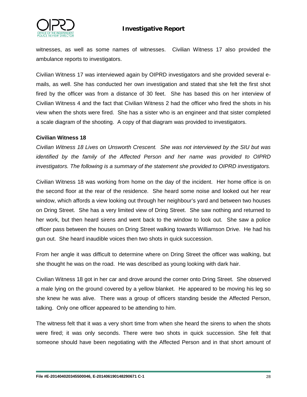



witnesses, as well as some names of witnesses. Civilian Witness 17 also provided the ambulance reports to investigators.

Civilian Witness 17 was interviewed again by OIPRD investigators and she provided several emails, as well. She has conducted her own investigation and stated that she felt the first shot fired by the officer was from a distance of 30 feet. She has based this on her interview of Civilian Witness 4 and the fact that Civilian Witness 2 had the officer who fired the shots in his view when the shots were fired. She has a sister who is an engineer and that sister completed a scale diagram of the shooting. A copy of that diagram was provided to investigators.

## **Civilian Witness 18**

*Civilian Witness 18 Lives on Unsworth Crescent. She was not interviewed by the SIU but was identified by the family of the Affected Person and her name was provided to OIPRD investigators. The following is a summary of the statement she provided to OIPRD investigators.*

Civilian Witness 18 was working from home on the day of the incident. Her home office is on the second floor at the rear of the residence. She heard some noise and looked out her rear window, which affords a view looking out through her neighbour's yard and between two houses on Dring Street. She has a very limited view of Dring Street. She saw nothing and returned to her work, but then heard sirens and went back to the window to look out. She saw a police officer pass between the houses on Dring Street walking towards Williamson Drive. He had his gun out. She heard inaudible voices then two shots in quick succession.

From her angle it was difficult to determine where on Dring Street the officer was walking, but she thought he was on the road. He was described as young looking with dark hair.

Civilian Witness 18 got in her car and drove around the corner onto Dring Street. She observed a male lying on the ground covered by a yellow blanket. He appeared to be moving his leg so she knew he was alive. There was a group of officers standing beside the Affected Person, talking. Only one officer appeared to be attending to him.

The witness felt that it was a very short time from when she heard the sirens to when the shots were fired; it was only seconds. There were two shots in quick succession. She felt that someone should have been negotiating with the Affected Person and in that short amount of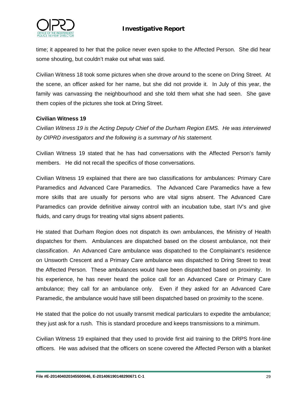

time; it appeared to her that the police never even spoke to the Affected Person. She did hear some shouting, but couldn't make out what was said.

Civilian Witness 18 took some pictures when she drove around to the scene on Dring Street. At the scene, an officer asked for her name, but she did not provide it. In July of this year, the family was canvassing the neighbourhood and she told them what she had seen. She gave them copies of the pictures she took at Dring Street.

## **Civilian Witness 19**

*Civilian Witness 19 is the Acting Deputy Chief of the Durham Region EMS. He was interviewed by OIPRD investigators and the following is a summary of his statement.*

Civilian Witness 19 stated that he has had conversations with the Affected Person's family members. He did not recall the specifics of those conversations.

Civilian Witness 19 explained that there are two classifications for ambulances: Primary Care Paramedics and Advanced Care Paramedics. The Advanced Care Paramedics have a few more skills that are usually for persons who are vital signs absent. The Advanced Care Paramedics can provide definitive airway control with an incubation tube, start IV's and give fluids, and carry drugs for treating vital signs absent patients.

He stated that Durham Region does not dispatch its own ambulances, the Ministry of Health dispatches for them. Ambulances are dispatched based on the closest ambulance, not their classification. An Advanced Care ambulance was dispatched to the Complainant's residence on Unsworth Crescent and a Primary Care ambulance was dispatched to Dring Street to treat the Affected Person. These ambulances would have been dispatched based on proximity. In his experience, he has never heard the police call for an Advanced Care or Primary Care ambulance; they call for an ambulance only. Even if they asked for an Advanced Care Paramedic, the ambulance would have still been dispatched based on proximity to the scene.

He stated that the police do not usually transmit medical particulars to expedite the ambulance; they just ask for a rush. This is standard procedure and keeps transmissions to a minimum.

Civilian Witness 19 explained that they used to provide first aid training to the DRPS front-line officers. He was advised that the officers on scene covered the Affected Person with a blanket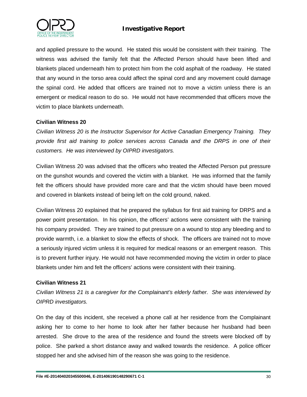

and applied pressure to the wound. He stated this would be consistent with their training. The witness was advised the family felt that the Affected Person should have been lifted and blankets placed underneath him to protect him from the cold asphalt of the roadway. He stated that any wound in the torso area could affect the spinal cord and any movement could damage the spinal cord. He added that officers are trained not to move a victim unless there is an emergent or medical reason to do so. He would not have recommended that officers move the victim to place blankets underneath.

## **Civilian Witness 20**

*Civilian Witness 20 is the Instructor Supervisor for Active Canadian Emergency Training. They provide first aid training to police services across Canada and the DRPS in one of their customers. He was interviewed by OIPRD investigators.*

Civilian Witness 20 was advised that the officers who treated the Affected Person put pressure on the gunshot wounds and covered the victim with a blanket. He was informed that the family felt the officers should have provided more care and that the victim should have been moved and covered in blankets instead of being left on the cold ground, naked.

Civilian Witness 20 explained that he prepared the syllabus for first aid training for DRPS and a power point presentation. In his opinion, the officers' actions were consistent with the training his company provided. They are trained to put pressure on a wound to stop any bleeding and to provide warmth, i.e. a blanket to slow the effects of shock. The officers are trained not to move a seriously injured victim unless it is required for medical reasons or an emergent reason. This is to prevent further injury. He would not have recommended moving the victim in order to place blankets under him and felt the officers' actions were consistent with their training.

#### **Civilian Witness 21**

*Civilian Witness 21 is a caregiver for the Complainant's elderly father. She was interviewed by OIPRD investigators.* 

On the day of this incident, she received a phone call at her residence from the Complainant asking her to come to her home to look after her father because her husband had been arrested. She drove to the area of the residence and found the streets were blocked off by police. She parked a short distance away and walked towards the residence. A police officer stopped her and she advised him of the reason she was going to the residence.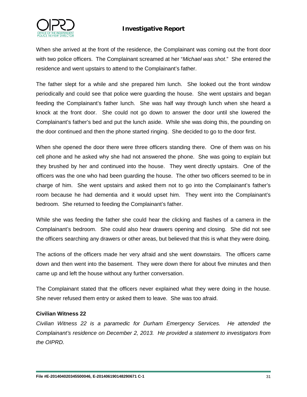

When she arrived at the front of the residence, the Complainant was coming out the front door with two police officers. The Complainant screamed at her "*Michael was shot*." She entered the residence and went upstairs to attend to the Complainant's father.

The father slept for a while and she prepared him lunch. She looked out the front window periodically and could see that police were guarding the house. She went upstairs and began feeding the Complainant's father lunch. She was half way through lunch when she heard a knock at the front door. She could not go down to answer the door until she lowered the Complainant's father's bed and put the lunch aside. While she was doing this, the pounding on the door continued and then the phone started ringing. She decided to go to the door first.

When she opened the door there were three officers standing there. One of them was on his cell phone and he asked why she had not answered the phone. She was going to explain but they brushed by her and continued into the house. They went directly upstairs. One of the officers was the one who had been guarding the house. The other two officers seemed to be in charge of him. She went upstairs and asked them not to go into the Complainant's father's room because he had dementia and it would upset him. They went into the Complainant's bedroom. She returned to feeding the Complainant's father.

While she was feeding the father she could hear the clicking and flashes of a camera in the Complainant's bedroom. She could also hear drawers opening and closing. She did not see the officers searching any drawers or other areas, but believed that this is what they were doing.

The actions of the officers made her very afraid and she went downstairs. The officers came down and then went into the basement. They were down there for about five minutes and then came up and left the house without any further conversation.

The Complainant stated that the officers never explained what they were doing in the house. She never refused them entry or asked them to leave. She was too afraid.

#### **Civilian Witness 22**

*Civilian Witness 22 is a paramedic for Durham Emergency Services. He attended the Complainant's residence on December 2, 2013. He provided a statement to investigators from the OIPRD.*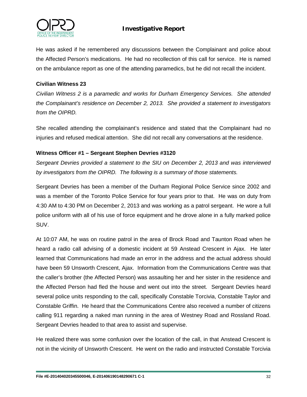

He was asked if he remembered any discussions between the Complainant and police about the Affected Person's medications. He had no recollection of this call for service. He is named on the ambulance report as one of the attending paramedics, but he did not recall the incident.

## **Civilian Witness 23**

*Civilian Witness 2 is a paramedic and works for Durham Emergency Services. She attended the Complainant's residence on December 2, 2013. She provided a statement to investigators from the OIPRD.*

She recalled attending the complainant's residence and stated that the Complainant had no injuries and refused medical attention. She did not recall any conversations at the residence.

## **Witness Officer #1 – Sergeant Stephen Devries #3120**

*Sergeant Devries provided a statement to the SIU on December 2, 2013 and was interviewed by investigators from the OIPRD. The following is a summary of those statements.* 

Sergeant Devries has been a member of the Durham Regional Police Service since 2002 and was a member of the Toronto Police Service for four years prior to that. He was on duty from 4:30 AM to 4:30 PM on December 2, 2013 and was working as a patrol sergeant. He wore a full police uniform with all of his use of force equipment and he drove alone in a fully marked police SUV.

At 10:07 AM, he was on routine patrol in the area of Brock Road and Taunton Road when he heard a radio call advising of a domestic incident at 59 Anstead Crescent in Ajax. He later learned that Communications had made an error in the address and the actual address should have been 59 Unsworth Crescent, Ajax. Information from the Communications Centre was that the caller's brother (the Affected Person) was assaulting her and her sister in the residence and the Affected Person had fled the house and went out into the street. Sergeant Devries heard several police units responding to the call, specifically Constable Torcivia, Constable Taylor and Constable Griffin. He heard that the Communications Centre also received a number of citizens calling 911 regarding a naked man running in the area of Westney Road and Rossland Road. Sergeant Devries headed to that area to assist and supervise.

He realized there was some confusion over the location of the call, in that Anstead Crescent is not in the vicinity of Unsworth Crescent. He went on the radio and instructed Constable Torcivia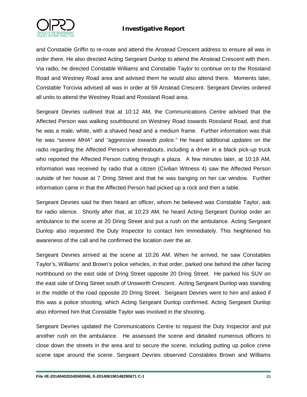



and Constable Griffin to re-route and attend the Anstead Crescent address to ensure all was in order there. He also directed Acting Sergeant Dunlop to attend the Anstead Crescent with them. Via radio, he directed Constable Williams and Constable Taylor to continue on to the Rossland Road and Westney Road area and advised them he would also attend there. Moments later, Constable Torcivia advised all was in order at 59 Anstead Crescent. Sergeant Devries ordered all units to attend the Westney Road and Rossland Road area.

Sergeant Devries outlined that at 10:12 AM, the Communications Centre advised that the Affected Person was walking southbound on Westney Road towards Rossland Road, and that he was a male, white, with a shaved head and a medium frame. Further information was that he was *"severe MHA"* and *"aggressive towards police."* He heard additional updates on the radio regarding the Affected Person's whereabouts, including a driver in a black pick-up truck who reported the Affected Person cutting through a plaza. A few minutes later, at 10:19 AM, information was received by radio that a citizen (Civilian Witness 4) saw the Affected Person outside of her house at 7 Dring Street and that he was banging on her car window. Further information came in that the Affected Person had picked up a rock and then a table.

Sergeant Devries said he then heard an officer, whom he believed was Constable Taylor, ask for radio silence. Shortly after that, at 10:23 AM, he heard Acting Sergeant Dunlop order an ambulance to the scene at 20 Dring Street and put a rush on the ambulance. Acting Sergeant Dunlop also requested the Duty Inspector to contact him immediately. This heightened his awareness of the call and he confirmed the location over the air.

Sergeant Devries arrived at the scene at 10:26 AM. When he arrived, he saw Constables Taylor's, Williams' and Brown's police vehicles, in that order, parked one behind the other facing northbound on the east side of Dring Street opposite 20 Dring Street. He parked his SUV on the east side of Dring Street south of Unsworth Crescent. Acting Sergeant Dunlop was standing in the middle of the road opposite 20 Dring Street. Sergeant Devries went to him and asked if this was a police shooting, which Acting Sergeant Dunlop confirmed. Acting Sergeant Dunlop also informed him that Constable Taylor was involved in the shooting.

Sergeant Devries updated the Communications Centre to request the Duty Inspector and put another rush on the ambulance. He assessed the scene and detailed numerous officers to close down the streets in the area and to secure the scene, including putting up police crime scene tape around the scene. Sergeant Devries observed Constables Brown and Williams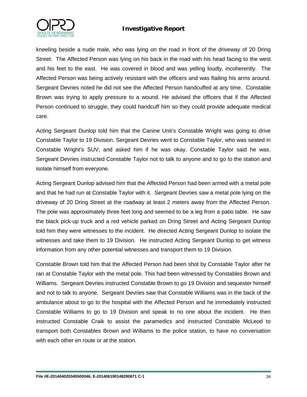

kneeling beside a nude male, who was lying on the road in front of the driveway of 20 Dring Street. The Affected Person was lying on his back in the road with his head facing to the west and his feet to the east. He was covered in blood and was yelling loudly, incoherently. The Affected Person was being actively resistant with the officers and was flailing his arms around. Sergeant Devries noted he did not see the Affected Person handcuffed at any time. Constable Brown was trying to apply pressure to a wound. He advised the officers that if the Affected Person continued to struggle, they could handcuff him so they could provide adequate medical care.

Acting Sergeant Dunlop told him that the Canine Unit's Constable Wright was going to drive Constable Taylor to 19 Division. Sergeant Devries went to Constable Taylor, who was seated in Constable Wright's SUV, and asked him if he was okay. Constable Taylor said he was. Sergeant Devries instructed Constable Taylor not to talk to anyone and to go to the station and isolate himself from everyone.

Acting Sergeant Dunlop advised him that the Affected Person had been armed with a metal pole and that he had run at Constable Taylor with it. Sergeant Devries saw a metal pole lying on the driveway of 20 Dring Street at the roadway at least 2 meters away from the Affected Person. The pole was approximately three feet long and seemed to be a leg from a patio table. He saw the black pick-up truck and a red vehicle parked on Dring Street and Acting Sergeant Dunlop told him they were witnesses to the incident. He directed Acting Sergeant Dunlop to isolate the witnesses and take them to 19 Division. He instructed Acting Sergeant Dunlop to get witness information from any other potential witnesses and transport them to 19 Division.

Constable Brown told him that the Affected Person had been shot by Constable Taylor after he ran at Constable Taylor with the metal pole. This had been witnessed by Constables Brown and Williams. Sergeant Devries instructed Constable Brown to go 19 Division and sequester himself and not to talk to anyone. Sergeant Devries saw that Constable Williams was in the back of the ambulance about to go to the hospital with the Affected Person and he immediately instructed Constable Williams to go to 19 Division and speak to no one about the incident. He then instructed Constable Craik to assist the paramedics and instructed Constable McLeod to transport both Constables Brown and Williams to the police station, to have no conversation with each other en route or at the station.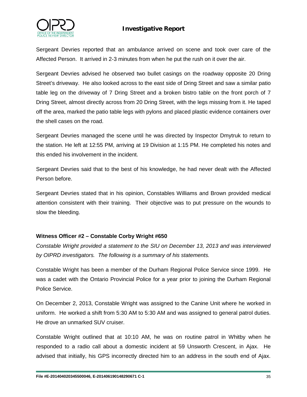

Sergeant Devries reported that an ambulance arrived on scene and took over care of the Affected Person. It arrived in 2-3 minutes from when he put the rush on it over the air.

Sergeant Devries advised he observed two bullet casings on the roadway opposite 20 Dring Street's driveway. He also looked across to the east side of Dring Street and saw a similar patio table leg on the driveway of 7 Dring Street and a broken bistro table on the front porch of 7 Dring Street, almost directly across from 20 Dring Street, with the legs missing from it. He taped off the area, marked the patio table legs with pylons and placed plastic evidence containers over the shell cases on the road.

Sergeant Devries managed the scene until he was directed by Inspector Dmytruk to return to the station. He left at 12:55 PM, arriving at 19 Division at 1:15 PM. He completed his notes and this ended his involvement in the incident.

Sergeant Devries said that to the best of his knowledge, he had never dealt with the Affected Person before.

Sergeant Devries stated that in his opinion, Constables Williams and Brown provided medical attention consistent with their training. Their objective was to put pressure on the wounds to slow the bleeding.

#### **Witness Officer #2 – Constable Corby Wright #650**

*Constable Wright provided a statement to the SIU on December 13, 2013 and was interviewed by OIPRD investigators. The following is a summary of his statements.*

Constable Wright has been a member of the Durham Regional Police Service since 1999. He was a cadet with the Ontario Provincial Police for a year prior to joining the Durham Regional Police Service.

On December 2, 2013, Constable Wright was assigned to the Canine Unit where he worked in uniform. He worked a shift from 5:30 AM to 5:30 AM and was assigned to general patrol duties. He drove an unmarked SUV cruiser.

Constable Wright outlined that at 10:10 AM, he was on routine patrol in Whitby when he responded to a radio call about a domestic incident at 59 Unsworth Crescent, in Ajax. He advised that initially, his GPS incorrectly directed him to an address in the south end of Ajax.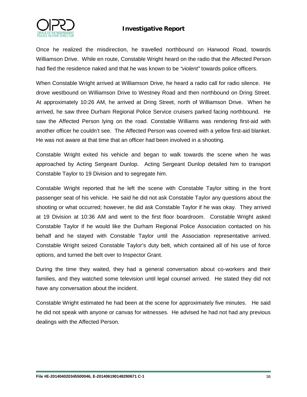



Once he realized the misdirection, he travelled northbound on Harwood Road, towards Williamson Drive. While en route, Constable Wright heard on the radio that the Affected Person had fled the residence naked and that he was known to be *"violent"* towards police officers.

When Constable Wright arrived at Williamson Drive, he heard a radio call for radio silence. He drove westbound on Williamson Drive to Westney Road and then northbound on Dring Street. At approximately 10:26 AM, he arrived at Dring Street, north of Williamson Drive. When he arrived, he saw three Durham Regional Police Service cruisers parked facing northbound. He saw the Affected Person lying on the road. Constable Williams was rendering first-aid with another officer he couldn't see. The Affected Person was covered with a yellow first-aid blanket. He was not aware at that time that an officer had been involved in a shooting.

Constable Wright exited his vehicle and began to walk towards the scene when he was approached by Acting Sergeant Dunlop. Acting Sergeant Dunlop detailed him to transport Constable Taylor to 19 Division and to segregate him.

Constable Wright reported that he left the scene with Constable Taylor sitting in the front passenger seat of his vehicle. He said he did not ask Constable Taylor any questions about the shooting or what occurred; however, he did ask Constable Taylor if he was okay. They arrived at 19 Division at 10:36 AM and went to the first floor boardroom. Constable Wright asked Constable Taylor if he would like the Durham Regional Police Association contacted on his behalf and he stayed with Constable Taylor until the Association representative arrived. Constable Wright seized Constable Taylor's duty belt, which contained all of his use of force options, and turned the belt over to Inspector Grant.

During the time they waited, they had a general conversation about co-workers and their families, and they watched some television until legal counsel arrived. He stated they did not have any conversation about the incident.

Constable Wright estimated he had been at the scene for approximately five minutes. He said he did not speak with anyone or canvas for witnesses. He advised he had not had any previous dealings with the Affected Person.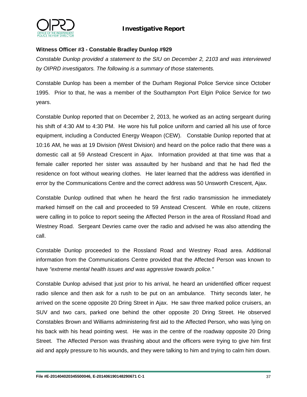



#### **Witness Officer #3 - Constable Bradley Dunlop #929**

*Constable Dunlop provided a statement to the SIU on December 2, 2103 and was interviewed by OIPRD investigators. The following is a summary of those statements.* 

Constable Dunlop has been a member of the Durham Regional Police Service since October 1995. Prior to that, he was a member of the Southampton Port Elgin Police Service for two years.

Constable Dunlop reported that on December 2, 2013, he worked as an acting sergeant during his shift of 4:30 AM to 4:30 PM. He wore his full police uniform and carried all his use of force equipment, including a Conducted Energy Weapon (CEW). Constable Dunlop reported that at 10:16 AM, he was at 19 Division (West Division) and heard on the police radio that there was a domestic call at 59 Anstead Crescent in Ajax. Information provided at that time was that a female caller reported her sister was assaulted by her husband and that he had fled the residence on foot without wearing clothes. He later learned that the address was identified in error by the Communications Centre and the correct address was 50 Unsworth Crescent, Ajax.

Constable Dunlop outlined that when he heard the first radio transmission he immediately marked himself on the call and proceeded to 59 Anstead Crescent. While en route, citizens were calling in to police to report seeing the Affected Person in the area of Rossland Road and Westney Road. Sergeant Devries came over the radio and advised he was also attending the call.

Constable Dunlop proceeded to the Rossland Road and Westney Road area. Additional information from the Communications Centre provided that the Affected Person was known to have *"extreme mental health issues and was aggressive towards police."* 

Constable Dunlop advised that just prior to his arrival, he heard an unidentified officer request radio silence and then ask for a rush to be put on an ambulance. Thirty seconds later, he arrived on the scene opposite 20 Dring Street in Ajax. He saw three marked police cruisers, an SUV and two cars, parked one behind the other opposite 20 Dring Street. He observed Constables Brown and Williams administering first aid to the Affected Person, who was lying on his back with his head pointing west. He was in the centre of the roadway opposite 20 Dring Street. The Affected Person was thrashing about and the officers were trying to give him first aid and apply pressure to his wounds, and they were talking to him and trying to calm him down.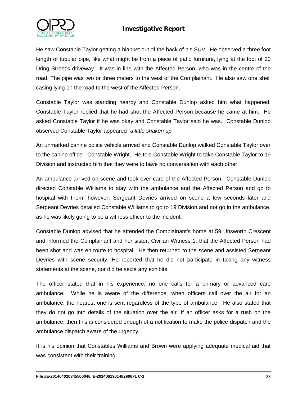



He saw Constable Taylor getting a blanket out of the back of his SUV. He observed a three foot length of tubular pipe, like what might be from a piece of patio furniture, lying at the foot of 20 Dring Street's driveway. It was in line with the Affected Person, who was in the centre of the road. The pipe was two or three meters to the west of the Complainant. He also saw one shell casing lying on the road to the west of the Affected Person.

Constable Taylor was standing nearby and Constable Dunlop asked him what happened. Constable Taylor replied that he had shot the Affected Person because he came at him. He asked Constable Taylor if he was okay and Constable Taylor said he was. Constable Dunlop observed Constable Taylor appeared *"a little shaken up."* 

An unmarked canine police vehicle arrived and Constable Dunlop walked Constable Taylor over to the canine officer, Constable Wright. He told Constable Wright to take Constable Taylor to 19 Division and instructed him that they were to have no conversation with each other.

An ambulance arrived on scene and took over care of the Affected Person. Constable Dunlop directed Constable Williams to stay with the ambulance and the Affected Person and go to hospital with them; however, Sergeant Devries arrived on scene a few seconds later and Sergeant Devries detailed Constable Williams to go to 19 Division and not go in the ambulance, as he was likely going to be a witness officer to the incident.

Constable Dunlop advised that he attended the Complainant's home at 59 Unsworth Crescent and informed the Complainant and her sister, Civilian Witness 1, that the Affected Person had been shot and was en route to hospital. He then returned to the scene and assisted Sergeant Devries with scene security. He reported that he did not participate in taking any witness statements at the scene, nor did he seize any exhibits.

The officer stated that in his experience, no one calls for a primary or advanced care ambulance. While he is aware of the difference, when officers call over the air for an ambulance, the nearest one is sent regardless of the type of ambulance. He also stated that they do not go into details of the situation over the air. If an officer asks for a rush on the ambulance, then this is considered enough of a notification to make the police dispatch and the ambulance dispatch aware of the urgency.

It is his opinion that Constables Williams and Brown were applying adequate medical aid that was consistent with their training.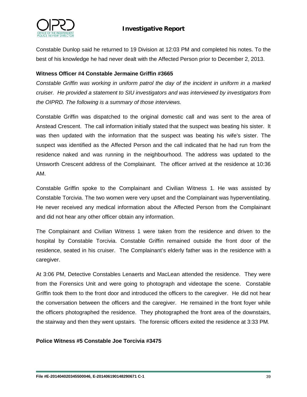

Constable Dunlop said he returned to 19 Division at 12:03 PM and completed his notes. To the best of his knowledge he had never dealt with the Affected Person prior to December 2, 2013.

#### **Witness Officer #4 Constable Jermaine Griffin #3665**

*Constable Griffin was working in uniform patrol the day of the incident in uniform in a marked cruiser. He provided a statement to SIU investigators and was interviewed by investigators from the OIPRD. The following is a summary of those interviews.*

Constable Griffin was dispatched to the original domestic call and was sent to the area of Anstead Crescent. The call information initially stated that the suspect was beating his sister. It was then updated with the information that the suspect was beating his wife's sister. The suspect was identified as the Affected Person and the call indicated that he had run from the residence naked and was running in the neighbourhood. The address was updated to the Unsworth Crescent address of the Complainant. The officer arrived at the residence at 10:36 AM.

Constable Griffin spoke to the Complainant and Civilian Witness 1. He was assisted by Constable Torcivia. The two women were very upset and the Complainant was hyperventilating. He never received any medical information about the Affected Person from the Complainant and did not hear any other officer obtain any information.

The Complainant and Civilian Witness 1 were taken from the residence and driven to the hospital by Constable Torcivia. Constable Griffin remained outside the front door of the residence, seated in his cruiser. The Complainant's elderly father was in the residence with a caregiver.

At 3:06 PM, Detective Constables Lenaerts and MacLean attended the residence. They were from the Forensics Unit and were going to photograph and videotape the scene. Constable Griffin took them to the front door and introduced the officers to the caregiver. He did not hear the conversation between the officers and the caregiver. He remained in the front foyer while the officers photographed the residence. They photographed the front area of the downstairs, the stairway and then they went upstairs. The forensic officers exited the residence at 3:33 PM.

#### **Police Witness #5 Constable Joe Torcivia #3475**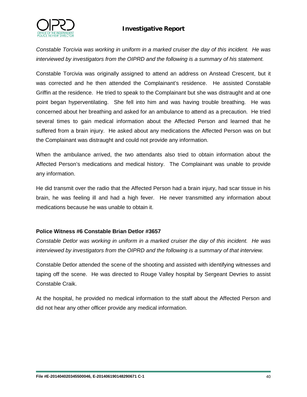

*Constable Torcivia was working in uniform in a marked cruiser the day of this incident. He was interviewed by investigators from the OIPRD and the following is a summary of his statement.*

Constable Torcivia was originally assigned to attend an address on Anstead Crescent, but it was corrected and he then attended the Complainant's residence. He assisted Constable Griffin at the residence. He tried to speak to the Complainant but she was distraught and at one point began hyperventilating. She fell into him and was having trouble breathing. He was concerned about her breathing and asked for an ambulance to attend as a precaution. He tried several times to gain medical information about the Affected Person and learned that he suffered from a brain injury. He asked about any medications the Affected Person was on but the Complainant was distraught and could not provide any information.

When the ambulance arrived, the two attendants also tried to obtain information about the Affected Person's medications and medical history. The Complainant was unable to provide any information.

He did transmit over the radio that the Affected Person had a brain injury, had scar tissue in his brain, he was feeling ill and had a high fever. He never transmitted any information about medications because he was unable to obtain it.

#### **Police Witness #6 Constable Brian Detlor #3657**

*Constable Detlor was working in uniform in a marked cruiser the day of this incident. He was interviewed by investigators from the OIPRD and the following is a summary of that interview.*

Constable Detlor attended the scene of the shooting and assisted with identifying witnesses and taping off the scene. He was directed to Rouge Valley hospital by Sergeant Devries to assist Constable Craik.

At the hospital, he provided no medical information to the staff about the Affected Person and did not hear any other officer provide any medical information.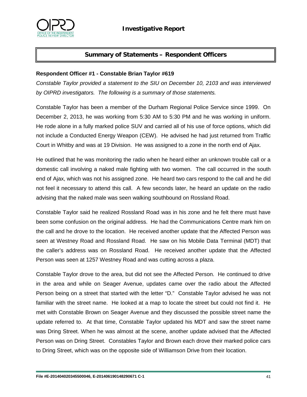

# **Summary of Statements – Respondent Officers**

#### **Respondent Officer #1 - Constable Brian Taylor #619**

*Constable Taylor provided a statement to the SIU on December 10, 2103 and was interviewed by OIPRD investigators. The following is a summary of those statements.* 

Constable Taylor has been a member of the Durham Regional Police Service since 1999. On December 2, 2013, he was working from 5:30 AM to 5:30 PM and he was working in uniform. He rode alone in a fully marked police SUV and carried all of his use of force options, which did not include a Conducted Energy Weapon (CEW). He advised he had just returned from Traffic Court in Whitby and was at 19 Division. He was assigned to a zone in the north end of Ajax.

He outlined that he was monitoring the radio when he heard either an unknown trouble call or a domestic call involving a naked male fighting with two women. The call occurred in the south end of Ajax, which was not his assigned zone. He heard two cars respond to the call and he did not feel it necessary to attend this call. A few seconds later, he heard an update on the radio advising that the naked male was seen walking southbound on Rossland Road.

Constable Taylor said he realized Rossland Road was in his zone and he felt there must have been some confusion on the original address. He had the Communications Centre mark him on the call and he drove to the location. He received another update that the Affected Person was seen at Westney Road and Rossland Road. He saw on his Mobile Data Terminal (MDT) that the caller's address was on Rossland Road. He received another update that the Affected Person was seen at 1257 Westney Road and was cutting across a plaza.

Constable Taylor drove to the area, but did not see the Affected Person. He continued to drive in the area and while on Seager Avenue, updates came over the radio about the Affected Person being on a street that started with the letter "D." Constable Taylor advised he was not familiar with the street name. He looked at a map to locate the street but could not find it. He met with Constable Brown on Seager Avenue and they discussed the possible street name the update referred to. At that time, Constable Taylor updated his MDT and saw the street name was Dring Street. When he was almost at the scene, another update advised that the Affected Person was on Dring Street. Constables Taylor and Brown each drove their marked police cars to Dring Street, which was on the opposite side of Williamson Drive from their location.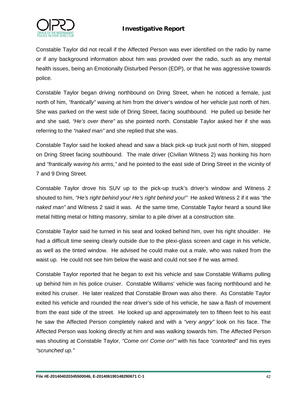

Constable Taylor did not recall if the Affected Person was ever identified on the radio by name or if any background information about him was provided over the radio, such as any mental health issues, being an Emotionally Disturbed Person (EDP), or that he was aggressive towards police.

Constable Taylor began driving northbound on Dring Street, when he noticed a female, just north of him, *"frantically"* waving at him from the driver's window of her vehicle just north of him. She was parked on the west side of Dring Street, facing southbound. He pulled up beside her and she said, *"He's over there"* as she pointed north. Constable Taylor asked her if she was referring to the *"naked man"* and she replied that she was.

Constable Taylor said he looked ahead and saw a black pick-up truck just north of him, stopped on Dring Street facing southbound. The male driver (Civilian Witness 2) was honking his horn and *"frantically waving his arms,"* and he pointed to the east side of Dring Street in the vicinity of 7 and 9 Dring Street.

Constable Taylor drove his SUV up to the pick-up truck's driver's window and Witness 2 shouted to him, *"He's right behind you! He's right behind you!"* He asked Witness 2 if it was *"the naked man"* and Witness 2 said it was. At the same time, Constable Taylor heard a sound like metal hitting metal or hitting masonry, similar to a pile driver at a construction site.

Constable Taylor said he turned in his seat and looked behind him, over his right shoulder. He had a difficult time seeing clearly outside due to the plexi-glass screen and cage in his vehicle, as well as the tinted window. He advised he could make out a male, who was naked from the waist up. He could not see him below the waist and could not see if he was armed.

Constable Taylor reported that he began to exit his vehicle and saw Constable Williams pulling up behind him in his police cruiser. Constable Williams' vehicle was facing northbound and he exited his cruiser. He later realized that Constable Brown was also there. As Constable Taylor exited his vehicle and rounded the rear driver's side of his vehicle, he saw a flash of movement from the east side of the street. He looked up and approximately ten to fifteen feet to his east he saw the Affected Person completely naked and with a *"very angry"* look on his face. The Affected Person was looking directly at him and was walking towards him. The Affected Person was shouting at Constable Taylor, *"Come on! Come on!"* with his face *"contorted"* and his eyes *"scrunched up."*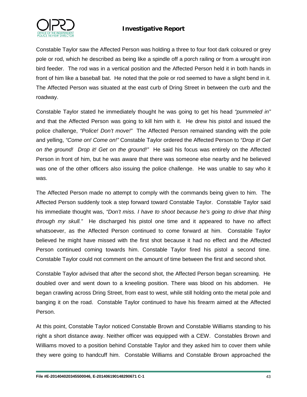

Constable Taylor saw the Affected Person was holding a three to four foot dark coloured or grey pole or rod, which he described as being like a spindle off a porch railing or from a wrought iron bird feeder. The rod was in a vertical position and the Affected Person held it in both hands in front of him like a baseball bat. He noted that the pole or rod seemed to have a slight bend in it. The Affected Person was situated at the east curb of Dring Street in between the curb and the roadway.

Constable Taylor stated he immediately thought he was going to get his head *"pummeled in"*  and that the Affected Person was going to kill him with it.He drew his pistol and issued the police challenge, *"Police! Don't move!"* The Affected Person remained standing with the pole and yelling, *"Come on! Come on!"* Constable Taylor ordered the Affected Person to *"Drop it! Get on the ground! Drop it! Get on the ground!"* He said his focus was entirely on the Affected Person in front of him, but he was aware that there was someone else nearby and he believed was one of the other officers also issuing the police challenge. He was unable to say who it was.

The Affected Person made no attempt to comply with the commands being given to him. The Affected Person suddenly took a step forward toward Constable Taylor. Constable Taylor said his immediate thought was, *"Don't miss. I have to shoot because he's going to drive that thing through my skull."* He discharged his pistol one time and it appeared to have no affect whatsoever, as the Affected Person continued to come forward at him. Constable Taylor believed he might have missed with the first shot because it had no effect and the Affected Person continued coming towards him. Constable Taylor fired his pistol a second time. Constable Taylor could not comment on the amount of time between the first and second shot.

Constable Taylor advised that after the second shot, the Affected Person began screaming. He doubled over and went down to a kneeling position. There was blood on his abdomen. He began crawling across Dring Street, from east to west, while still holding onto the metal pole and banging it on the road. Constable Taylor continued to have his firearm aimed at the Affected Person.

At this point, Constable Taylor noticed Constable Brown and Constable Williams standing to his right a short distance away. Neither officer was equipped with a CEW. Constables Brown and Williams moved to a position behind Constable Taylor and they asked him to cover them while they were going to handcuff him. Constable Williams and Constable Brown approached the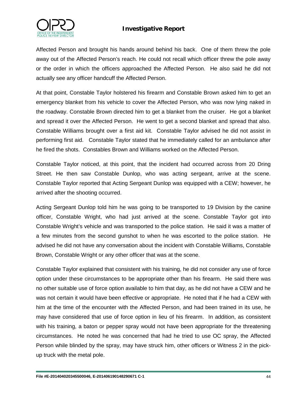

Affected Person and brought his hands around behind his back. One of them threw the pole away out of the Affected Person's reach. He could not recall which officer threw the pole away or the order in which the officers approached the Affected Person. He also said he did not actually see any officer handcuff the Affected Person.

At that point, Constable Taylor holstered his firearm and Constable Brown asked him to get an emergency blanket from his vehicle to cover the Affected Person, who was now lying naked in the roadway. Constable Brown directed him to get a blanket from the cruiser. He got a blanket and spread it over the Affected Person. He went to get a second blanket and spread that also. Constable Williams brought over a first aid kit. Constable Taylor advised he did not assist in performing first aid. Constable Taylor stated that he immediately called for an ambulance after he fired the shots. Constables Brown and Williams worked on the Affected Person.

Constable Taylor noticed, at this point, that the incident had occurred across from 20 Dring Street. He then saw Constable Dunlop, who was acting sergeant, arrive at the scene. Constable Taylor reported that Acting Sergeant Dunlop was equipped with a CEW; however, he arrived after the shooting occurred.

Acting Sergeant Dunlop told him he was going to be transported to 19 Division by the canine officer, Constable Wright, who had just arrived at the scene. Constable Taylor got into Constable Wright's vehicle and was transported to the police station. He said it was a matter of a few minutes from the second gunshot to when he was escorted to the police station. He advised he did not have any conversation about the incident with Constable Williams, Constable Brown, Constable Wright or any other officer that was at the scene.

Constable Taylor explained that consistent with his training, he did not consider any use of force option under these circumstances to be appropriate other than his firearm. He said there was no other suitable use of force option available to him that day, as he did not have a CEW and he was not certain it would have been effective or appropriate. He noted that if he had a CEW with him at the time of the encounter with the Affected Person, and had been trained in its use, he may have considered that use of force option in lieu of his firearm. In addition, as consistent with his training, a baton or pepper spray would not have been appropriate for the threatening circumstances. He noted he was concerned that had he tried to use OC spray, the Affected Person while blinded by the spray, may have struck him, other officers or Witness 2 in the pickup truck with the metal pole.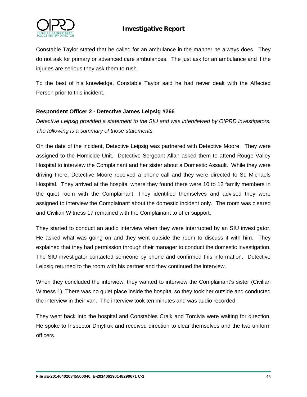

Constable Taylor stated that he called for an ambulance in the manner he always does. They do not ask for primary or advanced care ambulances. The just ask for an ambulance and if the injuries are serious they ask them to rush.

To the best of his knowledge, Constable Taylor said he had never dealt with the Affected Person prior to this incident.

### **Respondent Officer 2 - Detective James Leipsig #266**

*Detective Leipsig provided a statement to the SIU and was interviewed by OIPRD investigators. The following is a summary of those statements.*

On the date of the incident, Detective Leipsig was partnered with Detective Moore. They were assigned to the Homicide Unit. Detective Sergeant Allan asked them to attend Rouge Valley Hospital to interview the Complainant and her sister about a Domestic Assault. While they were driving there, Detective Moore received a phone call and they were directed to St. Michaels Hospital. They arrived at the hospital where they found there were 10 to 12 family members in the quiet room with the Complainant. They identified themselves and advised they were assigned to interview the Complainant about the domestic incident only. The room was cleared and Civilian Witness 17 remained with the Complainant to offer support.

They started to conduct an audio interview when they were interrupted by an SIU investigator. He asked what was going on and they went outside the room to discuss it with him. They explained that they had permission through their manager to conduct the domestic investigation. The SIU investigator contacted someone by phone and confirmed this information. Detective Leipsig returned to the room with his partner and they continued the interview.

When they concluded the interview, they wanted to interview the Complainant's sister (Civilian Witness 1). There was no quiet place inside the hospital so they took her outside and conducted the interview in their van. The interview took ten minutes and was audio recorded.

They went back into the hospital and Constables Craik and Torcivia were waiting for direction. He spoke to Inspector Dmytruk and received direction to clear themselves and the two uniform officers.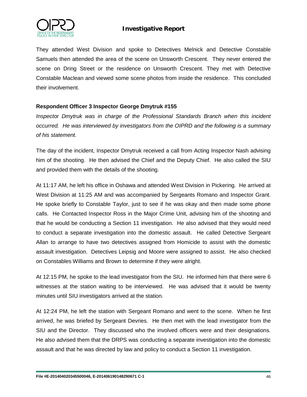

They attended West Division and spoke to Detectives Melnick and Detective Constable Samuels then attended the area of the scene on Unsworth Crescent. They never entered the scene on Dring Street or the residence on Unsworth Crescent. They met with Detective Constable Maclean and viewed some scene photos from inside the residence. This concluded their involvement.

#### **Respondent Officer 3 Inspector George Dmytruk #155**

*Inspector Dmytruk was in charge of the Professional Standards Branch when this incident occurred. He was interviewed by investigators from the OIPRD and the following is a summary of his statement.* 

The day of the incident, Inspector Dmytruk received a call from Acting Inspector Nash advising him of the shooting. He then advised the Chief and the Deputy Chief. He also called the SIU and provided them with the details of the shooting.

At 11:17 AM, he left his office in Oshawa and attended West Division in Pickering. He arrived at West Division at 11:25 AM and was accompanied by Sergeants Romano and Inspector Grant. He spoke briefly to Constable Taylor, just to see if he was okay and then made some phone calls. He Contacted Inspector Ross in the Major Crime Unit, advising him of the shooting and that he would be conducting a Section 11 investigation. He also advised that they would need to conduct a separate investigation into the domestic assault. He called Detective Sergeant Allan to arrange to have two detectives assigned from Homicide to assist with the domestic assault investigation. Detectives Leipsig and Moore were assigned to assist. He also checked on Constables Williams and Brown to determine if they were alright.

At 12:15 PM, he spoke to the lead investigator from the SIU. He informed him that there were 6 witnesses at the station waiting to be interviewed. He was advised that it would be twenty minutes until SIU investigators arrived at the station.

At 12:24 PM, he left the station with Sergeant Romano and went to the scene. When he first arrived, he was briefed by Sergeant Devries. He then met with the lead investigator from the SIU and the Director. They discussed who the involved officers were and their designations. He also advised them that the DRPS was conducting a separate investigation into the domestic assault and that he was directed by law and policy to conduct a Section 11 investigation.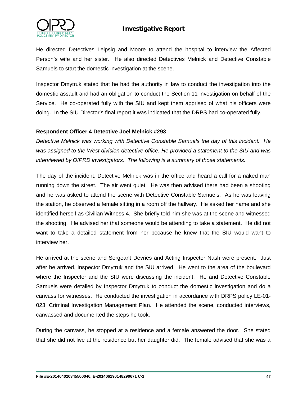

He directed Detectives Leipsig and Moore to attend the hospital to interview the Affected Person's wife and her sister. He also directed Detectives Melnick and Detective Constable Samuels to start the domestic investigation at the scene.

Inspector Dmytruk stated that he had the authority in law to conduct the investigation into the domestic assault and had an obligation to conduct the Section 11 investigation on behalf of the Service. He co-operated fully with the SIU and kept them apprised of what his officers were doing. In the SIU Director's final report it was indicated that the DRPS had co-operated fully.

#### **Respondent Officer 4 Detective Joel Melnick #293**

*Detective Melnick was working with Detective Constable Samuels the day of this incident. He was assigned to the West division detective office. He provided a statement to the SIU and was interviewed by OIPRD investigators. The following is a summary of those statements.*

The day of the incident, Detective Melnick was in the office and heard a call for a naked man running down the street. The air went quiet. He was then advised there had been a shooting and he was asked to attend the scene with Detective Constable Samuels. As he was leaving the station, he observed a female sitting in a room off the hallway. He asked her name and she identified herself as Civilian Witness 4. She briefly told him she was at the scene and witnessed the shooting. He advised her that someone would be attending to take a statement. He did not want to take a detailed statement from her because he knew that the SIU would want to interview her.

He arrived at the scene and Sergeant Devries and Acting Inspector Nash were present. Just after he arrived, Inspector Dmytruk and the SIU arrived. He went to the area of the boulevard where the Inspector and the SIU were discussing the incident. He and Detective Constable Samuels were detailed by Inspector Dmytruk to conduct the domestic investigation and do a canvass for witnesses. He conducted the investigation in accordance with DRPS policy LE-01- 023, Criminal Investigation Management Plan. He attended the scene, conducted interviews, canvassed and documented the steps he took.

During the canvass, he stopped at a residence and a female answered the door. She stated that she did not live at the residence but her daughter did. The female advised that she was a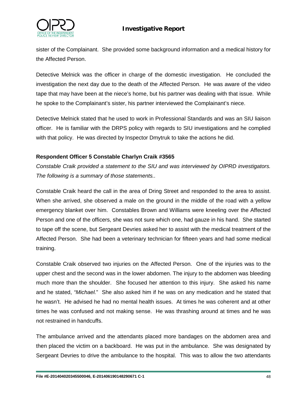

sister of the Complainant. She provided some background information and a medical history for the Affected Person.

Detective Melnick was the officer in charge of the domestic investigation. He concluded the investigation the next day due to the death of the Affected Person. He was aware of the video tape that may have been at the niece's home, but his partner was dealing with that issue. While he spoke to the Complainant's sister, his partner interviewed the Complainant's niece.

Detective Melnick stated that he used to work in Professional Standards and was an SIU liaison officer. He is familiar with the DRPS policy with regards to SIU investigations and he complied with that policy. He was directed by Inspector Dmytruk to take the actions he did.

#### **Respondent Officer 5 Constable Charlyn Craik #3565**

*Constable Craik provided a statement to the SIU and was interviewed by OIPRD investigators. The following is a summary of those statements..*

Constable Craik heard the call in the area of Dring Street and responded to the area to assist. When she arrived, she observed a male on the ground in the middle of the road with a yellow emergency blanket over him. Constables Brown and Williams were kneeling over the Affected Person and one of the officers, she was not sure which one, had gauze in his hand. She started to tape off the scene, but Sergeant Devries asked her to assist with the medical treatment of the Affected Person. She had been a veterinary technician for fifteen years and had some medical training.

Constable Craik observed two injuries on the Affected Person. One of the injuries was to the upper chest and the second was in the lower abdomen. The injury to the abdomen was bleeding much more than the shoulder. She focused her attention to this injury. She asked his name and he stated, *"Michael.*" She also asked him if he was on any medication and he stated that he wasn't. He advised he had no mental health issues. At times he was coherent and at other times he was confused and not making sense. He was thrashing around at times and he was not restrained in handcuffs.

The ambulance arrived and the attendants placed more bandages on the abdomen area and then placed the victim on a backboard. He was put in the ambulance. She was designated by Sergeant Devries to drive the ambulance to the hospital. This was to allow the two attendants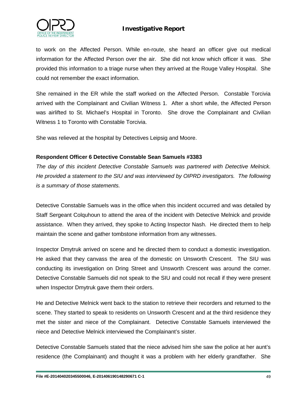

to work on the Affected Person. While en-route, she heard an officer give out medical information for the Affected Person over the air. She did not know which officer it was. She provided this information to a triage nurse when they arrived at the Rouge Valley Hospital. She could not remember the exact information.

She remained in the ER while the staff worked on the Affected Person. Constable Torcivia arrived with the Complainant and Civilian Witness 1. After a short while, the Affected Person was airlifted to St. Michael's Hospital in Toronto. She drove the Complainant and Civilian Witness 1 to Toronto with Constable Torcivia.

She was relieved at the hospital by Detectives Leipsig and Moore.

#### **Respondent Officer 6 Detective Constable Sean Samuels #3383**

*The day of this incident Detective Constable Samuels was partnered with Detective Melnick. He provided a statement to the SIU and was interviewed by OIPRD investigators. The following is a summary of those statements.*

Detective Constable Samuels was in the office when this incident occurred and was detailed by Staff Sergeant Colquhoun to attend the area of the incident with Detective Melnick and provide assistance. When they arrived, they spoke to Acting Inspector Nash. He directed them to help maintain the scene and gather tombstone information from any witnesses.

Inspector Dmytruk arrived on scene and he directed them to conduct a domestic investigation. He asked that they canvass the area of the domestic on Unsworth Crescent. The SIU was conducting its investigation on Dring Street and Unsworth Crescent was around the corner. Detective Constable Samuels did not speak to the SIU and could not recall if they were present when Inspector Dmytruk gave them their orders.

He and Detective Melnick went back to the station to retrieve their recorders and returned to the scene. They started to speak to residents on Unsworth Crescent and at the third residence they met the sister and niece of the Complainant. Detective Constable Samuels interviewed the niece and Detective Melnick interviewed the Complainant's sister.

Detective Constable Samuels stated that the niece advised him she saw the police at her aunt's residence (the Complainant) and thought it was a problem with her elderly grandfather. She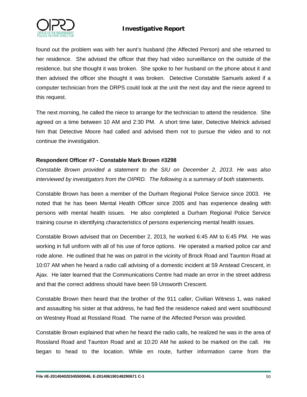

found out the problem was with her aunt's husband (the Affected Person) and she returned to her residence. She advised the officer that they had video surveillance on the outside of the residence, but she thought it was broken. She spoke to her husband on the phone about it and then advised the officer she thought it was broken. Detective Constable Samuels asked if a computer technician from the DRPS could look at the unit the next day and the niece agreed to this request.

The next morning, he called the niece to arrange for the technician to attend the residence. She agreed on a time between 10 AM and 2:30 PM. A short time later, Detective Melnick advised him that Detective Moore had called and advised them not to pursue the video and to not continue the investigation.

#### **Respondent Officer #7 - Constable Mark Brown #3298**

*Constable Brown provided a statement to the SIU on December 2, 2013. He was also interviewed by investigators from the OIPRD. The following is a summary of both statements.* 

Constable Brown has been a member of the Durham Regional Police Service since 2003. He noted that he has been Mental Health Officer since 2005 and has experience dealing with persons with mental health issues. He also completed a Durham Regional Police Service training course in identifying characteristics of persons experiencing mental health issues.

Constable Brown advised that on December 2, 2013, he worked 6:45 AM to 6:45 PM. He was working in full uniform with all of his use of force options. He operated a marked police car and rode alone. He outlined that he was on patrol in the vicinity of Brock Road and Taunton Road at 10:07 AM when he heard a radio call advising of a domestic incident at 59 Anstead Crescent, in Ajax. He later learned that the Communications Centre had made an error in the street address and that the correct address should have been 59 Unsworth Crescent.

Constable Brown then heard that the brother of the 911 caller, Civilian Witness 1, was naked and assaulting his sister at that address, he had fled the residence naked and went southbound on Westney Road at Rossland Road. The name of the Affected Person was provided.

Constable Brown explained that when he heard the radio calls, he realized he was in the area of Rossland Road and Taunton Road and at 10:20 AM he asked to be marked on the call. He began to head to the location. While en route, further information came from the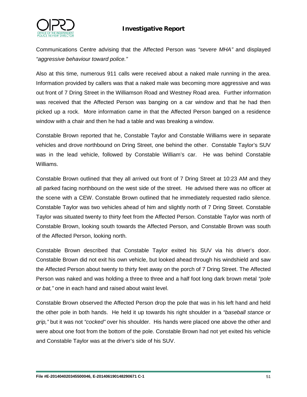

Communications Centre advising that the Affected Person was *"severe MHA"* and displayed *"aggressive behaviour toward police."* 

Also at this time, numerous 911 calls were received about a naked male running in the area. Information provided by callers was that a naked male was becoming more aggressive and was out front of 7 Dring Street in the Williamson Road and Westney Road area. Further information was received that the Affected Person was banging on a car window and that he had then picked up a rock. More information came in that the Affected Person banged on a residence window with a chair and then he had a table and was breaking a window.

Constable Brown reported that he, Constable Taylor and Constable Williams were in separate vehicles and drove northbound on Dring Street, one behind the other. Constable Taylor's SUV was in the lead vehicle, followed by Constable William's car. He was behind Constable Williams.

Constable Brown outlined that they all arrived out front of 7 Dring Street at 10:23 AM and they all parked facing northbound on the west side of the street. He advised there was no officer at the scene with a CEW. Constable Brown outlined that he immediately requested radio silence. Constable Taylor was two vehicles ahead of him and slightly north of 7 Dring Street. Constable Taylor was situated twenty to thirty feet from the Affected Person. Constable Taylor was north of Constable Brown, looking south towards the Affected Person, and Constable Brown was south of the Affected Person, looking north.

Constable Brown described that Constable Taylor exited his SUV via his driver's door. Constable Brown did not exit his own vehicle, but looked ahead through his windshield and saw the Affected Person about twenty to thirty feet away on the porch of 7 Dring Street. The Affected Person was naked and was holding a three to three and a half foot long dark brown metal *"pole or bat,"* one in each hand and raised about waist level.

Constable Brown observed the Affected Person drop the pole that was in his left hand and held the other pole in both hands. He held it up towards his right shoulder in a *"baseball stance or grip,"* but it was not *"cocked"* over his shoulder. His hands were placed one above the other and were about one foot from the bottom of the pole. Constable Brown had not yet exited his vehicle and Constable Taylor was at the driver's side of his SUV.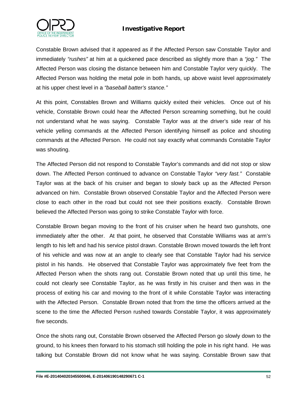



Constable Brown advised that it appeared as if the Affected Person saw Constable Taylor and immediately *"rushes"* at him at a quickened pace described as slightly more than a *"jog."* The Affected Person was closing the distance between him and Constable Taylor very quickly. The Affected Person was holding the metal pole in both hands, up above waist level approximately at his upper chest level in a *"baseball batter's stance."* 

At this point, Constables Brown and Williams quickly exited their vehicles. Once out of his vehicle, Constable Brown could hear the Affected Person screaming something, but he could not understand what he was saying. Constable Taylor was at the driver's side rear of his vehicle yelling commands at the Affected Person identifying himself as police and shouting commands at the Affected Person. He could not say exactly what commands Constable Taylor was shouting.

The Affected Person did not respond to Constable Taylor's commands and did not stop or slow down. The Affected Person continued to advance on Constable Taylor *"very fast."* Constable Taylor was at the back of his cruiser and began to slowly back up as the Affected Person advanced on him. Constable Brown observed Constable Taylor and the Affected Person were close to each other in the road but could not see their positions exactly. Constable Brown believed the Affected Person was going to strike Constable Taylor with force.

Constable Brown began moving to the front of his cruiser when he heard two gunshots, one immediately after the other. At that point, he observed that Constable Williams was at arm's length to his left and had his service pistol drawn. Constable Brown moved towards the left front of his vehicle and was now at an angle to clearly see that Constable Taylor had his service pistol in his hands. He observed that Constable Taylor was approximately five feet from the Affected Person when the shots rang out. Constable Brown noted that up until this time, he could not clearly see Constable Taylor, as he was firstly in his cruiser and then was in the process of exiting his car and moving to the front of it while Constable Taylor was interacting with the Affected Person. Constable Brown noted that from the time the officers arrived at the scene to the time the Affected Person rushed towards Constable Taylor, it was approximately five seconds.

Once the shots rang out, Constable Brown observed the Affected Person go slowly down to the ground, to his knees then forward to his stomach still holding the pole in his right hand. He was talking but Constable Brown did not know what he was saying. Constable Brown saw that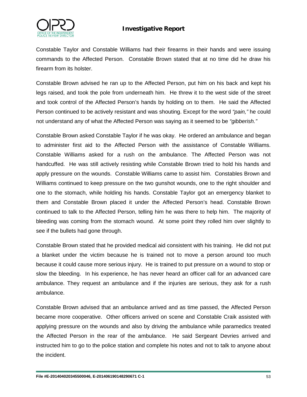

Constable Taylor and Constable Williams had their firearms in their hands and were issuing commands to the Affected Person. Constable Brown stated that at no time did he draw his firearm from its holster.

Constable Brown advised he ran up to the Affected Person, put him on his back and kept his legs raised, and took the pole from underneath him. He threw it to the west side of the street and took control of the Affected Person's hands by holding on to them. He said the Affected Person continued to be actively resistant and was shouting. Except for the word *"pain,"* he could not understand any of what the Affected Person was saying as it seemed to be *"gibberish."*

Constable Brown asked Constable Taylor if he was okay. He ordered an ambulance and began to administer first aid to the Affected Person with the assistance of Constable Williams. Constable Williams asked for a rush on the ambulance. The Affected Person was not handcuffed. He was still actively resisting while Constable Brown tried to hold his hands and apply pressure on the wounds. Constable Williams came to assist him. Constables Brown and Williams continued to keep pressure on the two gunshot wounds, one to the right shoulder and one to the stomach, while holding his hands. Constable Taylor got an emergency blanket to them and Constable Brown placed it under the Affected Person's head. Constable Brown continued to talk to the Affected Person, telling him he was there to help him. The majority of bleeding was coming from the stomach wound. At some point they rolled him over slightly to see if the bullets had gone through.

Constable Brown stated that he provided medical aid consistent with his training. He did not put a blanket under the victim because he is trained not to move a person around too much because it could cause more serious injury. He is trained to put pressure on a wound to stop or slow the bleeding. In his experience, he has never heard an officer call for an advanced care ambulance. They request an ambulance and if the injuries are serious, they ask for a rush ambulance.

Constable Brown advised that an ambulance arrived and as time passed, the Affected Person became more cooperative. Other officers arrived on scene and Constable Craik assisted with applying pressure on the wounds and also by driving the ambulance while paramedics treated the Affected Person in the rear of the ambulance. He said Sergeant Devries arrived and instructed him to go to the police station and complete his notes and not to talk to anyone about the incident.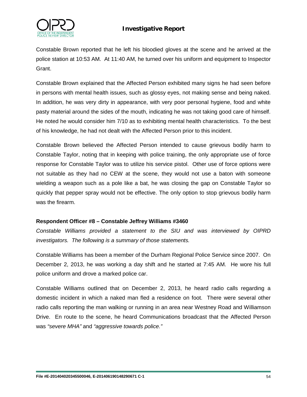



Constable Brown reported that he left his bloodied gloves at the scene and he arrived at the police station at 10:53 AM. At 11:40 AM, he turned over his uniform and equipment to Inspector Grant.

Constable Brown explained that the Affected Person exhibited many signs he had seen before in persons with mental health issues, such as glossy eyes, not making sense and being naked. In addition, he was very dirty in appearance, with very poor personal hygiene, food and white pasty material around the sides of the mouth, indicating he was not taking good care of himself. He noted he would consider him 7/10 as to exhibiting mental health characteristics. To the best of his knowledge, he had not dealt with the Affected Person prior to this incident.

Constable Brown believed the Affected Person intended to cause grievous bodily harm to Constable Taylor, noting that in keeping with police training, the only appropriate use of force response for Constable Taylor was to utilize his service pistol. Other use of force options were not suitable as they had no CEW at the scene, they would not use a baton with someone wielding a weapon such as a pole like a bat, he was closing the gap on Constable Taylor so quickly that pepper spray would not be effective. The only option to stop grievous bodily harm was the firearm.

#### **Respondent Officer #8 – Constable Jeffrey Williams #3460**

*Constable Williams provided a statement to the SIU and was interviewed by OIPRD investigators. The following is a summary of those statements.*

Constable Williams has been a member of the Durham Regional Police Service since 2007. On December 2, 2013, he was working a day shift and he started at 7:45 AM. He wore his full police uniform and drove a marked police car.

Constable Williams outlined that on December 2, 2013, he heard radio calls regarding a domestic incident in which a naked man fled a residence on foot. There were several other radio calls reporting the man walking or running in an area near Westney Road and Williamson Drive. En route to the scene, he heard Communications broadcast that the Affected Person was *"severe MHA"* and *"aggressive towards police."*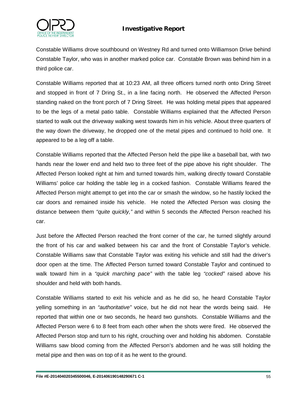

Constable Williams drove southbound on Westney Rd and turned onto Williamson Drive behind Constable Taylor, who was in another marked police car. Constable Brown was behind him in a third police car.

Constable Williams reported that at 10:23 AM, all three officers turned north onto Dring Street and stopped in front of 7 Dring St., in a line facing north. He observed the Affected Person standing naked on the front porch of 7 Dring Street. He was holding metal pipes that appeared to be the legs of a metal patio table. Constable Williams explained that the Affected Person started to walk out the driveway walking west towards him in his vehicle. About three quarters of the way down the driveway, he dropped one of the metal pipes and continued to hold one. It appeared to be a leg off a table.

Constable Williams reported that the Affected Person held the pipe like a baseball bat, with two hands near the lower end and held two to three feet of the pipe above his right shoulder. The Affected Person looked right at him and turned towards him, walking directly toward Constable Williams' police car holding the table leg in a cocked fashion. Constable Williams feared the Affected Person might attempt to get into the car or smash the window, so he hastily locked the car doors and remained inside his vehicle. He noted the Affected Person was closing the distance between them *"quite quickly,"* and within 5 seconds the Affected Person reached his car.

Just before the Affected Person reached the front corner of the car, he turned slightly around the front of his car and walked between his car and the front of Constable Taylor's vehicle. Constable Williams saw that Constable Taylor was exiting his vehicle and still had the driver's door open at the time. The Affected Person turned toward Constable Taylor and continued to walk toward him in a *"quick marching pace"* with the table leg *"cocked"* raised above his shoulder and held with both hands.

Constable Williams started to exit his vehicle and as he did so, he heard Constable Taylor yelling something in an *"authoritative"* voice, but he did not hear the words being said. He reported that within one or two seconds, he heard two gunshots. Constable Williams and the Affected Person were 6 to 8 feet from each other when the shots were fired. He observed the Affected Person stop and turn to his right, crouching over and holding his abdomen. Constable Williams saw blood coming from the Affected Person's abdomen and he was still holding the metal pipe and then was on top of it as he went to the ground.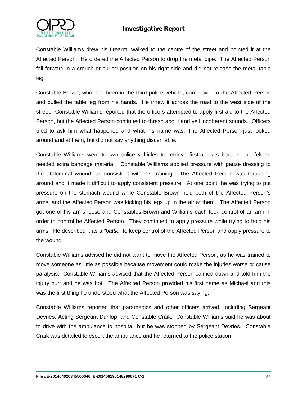

Constable Williams drew his firearm, walked to the centre of the street and pointed it at the Affected Person. He ordered the Affected Person to drop the metal pipe. The Affected Person fell forward in a crouch or curled position on his right side and did not release the metal table leg.

Constable Brown, who had been in the third police vehicle, came over to the Affected Person and pulled the table leg from his hands. He threw it across the road to the west side of the street. Constable Williams reported that the officers attempted to apply first aid to the Affected Person, but the Affected Person continued to thrash about and yell incoherent sounds. Officers tried to ask him what happened and what his name was. The Affected Person just looked around and at them, but did not say anything discernable.

Constable Williams went to two police vehicles to retrieve first-aid kits because he felt he needed extra bandage material. Constable Williams applied pressure with gauze dressing to the abdominal wound, as consistent with his training. The Affected Person was thrashing around and it made it difficult to apply consistent pressure. At one point, he was trying to put pressure on the stomach wound while Constable Brown held both of the Affected Person's arms, and the Affected Person was kicking his legs up in the air at them. The Affected Person got one of his arms loose and Constables Brown and Williams each took control of an arm in order to control he Affected Person. They continued to apply pressure while trying to hold his arms. He described it as a *"battle"* to keep control of the Affected Person and apply pressure to the wound.

Constable Williams advised he did not want to move the Affected Person, as he was trained to move someone as little as possible because movement could make the injuries worse or cause paralysis. Constable Williams advised that the Affected Person calmed down and told him the injury hurt and he was hot. The Affected Person provided his first name as Michael and this was the first thing he understood what the Affected Person was saying.

Constable Williams reported that paramedics and other officers arrived, including Sergeant Devries, Acting Sergeant Dunlop, and Constable Craik. Constable Williams said he was about to drive with the ambulance to hospital, but he was stopped by Sergeant Devries. Constable Craik was detailed to escort the ambulance and he returned to the police station.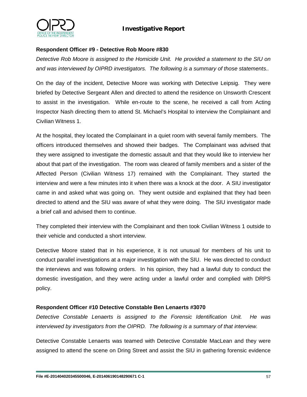

#### **Respondent Officer #9 - Detective Rob Moore #830**

*Detective Rob Moore is assigned to the Homicide Unit. He provided a statement to the SIU on and was interviewed by OIPRD investigators. The following is a summary of those statements..*

On the day of the incident, Detective Moore was working with Detective Leipsig. They were briefed by Detective Sergeant Allen and directed to attend the residence on Unsworth Crescent to assist in the investigation. While en-route to the scene, he received a call from Acting Inspector Nash directing them to attend St. Michael's Hospital to interview the Complainant and Civilian Witness 1.

At the hospital, they located the Complainant in a quiet room with several family members. The officers introduced themselves and showed their badges. The Complainant was advised that they were assigned to investigate the domestic assault and that they would like to interview her about that part of the investigation. The room was cleared of family members and a sister of the Affected Person (Civilian Witness 17) remained with the Complainant. They started the interview and were a few minutes into it when there was a knock at the door. A SIU investigator came in and asked what was going on. They went outside and explained that they had been directed to attend and the SIU was aware of what they were doing. The SIU investigator made a brief call and advised them to continue.

They completed their interview with the Complainant and then took Civilian Witness 1 outside to their vehicle and conducted a short interview.

Detective Moore stated that in his experience, it is not unusual for members of his unit to conduct parallel investigations at a major investigation with the SIU. He was directed to conduct the interviews and was following orders. In his opinion, they had a lawful duty to conduct the domestic investigation, and they were acting under a lawful order and complied with DRPS policy.

#### **Respondent Officer #10 Detective Constable Ben Lenaerts #3070**

*Detective Constable Lenaerts is assigned to the Forensic Identification Unit. He was interviewed by investigators from the OIPRD. The following is a summary of that interview.*

Detective Constable Lenaerts was teamed with Detective Constable MacLean and they were assigned to attend the scene on Dring Street and assist the SIU in gathering forensic evidence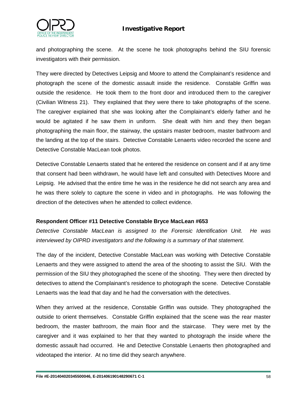

and photographing the scene. At the scene he took photographs behind the SIU forensic investigators with their permission.

They were directed by Detectives Leipsig and Moore to attend the Complainant's residence and photograph the scene of the domestic assault inside the residence. Constable Griffin was outside the residence. He took them to the front door and introduced them to the caregiver (Civilian Witness 21). They explained that they were there to take photographs of the scene. The caregiver explained that she was looking after the Complainant's elderly father and he would be agitated if he saw them in uniform. She dealt with him and they then began photographing the main floor, the stairway, the upstairs master bedroom, master bathroom and the landing at the top of the stairs. Detective Constable Lenaerts video recorded the scene and Detective Constable MacLean took photos.

Detective Constable Lenaerts stated that he entered the residence on consent and if at any time that consent had been withdrawn, he would have left and consulted with Detectives Moore and Leipsig. He advised that the entire time he was in the residence he did not search any area and he was there solely to capture the scene in video and in photographs. He was following the direction of the detectives when he attended to collect evidence.

#### **Respondent Officer #11 Detective Constable Bryce MacLean #653**

*Detective Constable MacLean is assigned to the Forensic Identification Unit. He was interviewed by OIPRD investigators and the following is a summary of that statement.*

The day of the incident, Detective Constable MacLean was working with Detective Constable Lenaerts and they were assigned to attend the area of the shooting to assist the SIU. With the permission of the SIU they photographed the scene of the shooting. They were then directed by detectives to attend the Complainant's residence to photograph the scene. Detective Constable Lenaerts was the lead that day and he had the conversation with the detectives.

When they arrived at the residence, Constable Griffin was outside. They photographed the outside to orient themselves. Constable Griffin explained that the scene was the rear master bedroom, the master bathroom, the main floor and the staircase. They were met by the caregiver and it was explained to her that they wanted to photograph the inside where the domestic assault had occurred. He and Detective Constable Lenaerts then photographed and videotaped the interior. At no time did they search anywhere.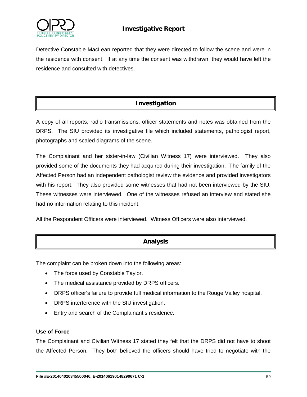

Detective Constable MacLean reported that they were directed to follow the scene and were in the residence with consent. If at any time the consent was withdrawn, they would have left the residence and consulted with detectives.

# **Investigation**

A copy of all reports, radio transmissions, officer statements and notes was obtained from the DRPS. The SIU provided its investigative file which included statements, pathologist report, photographs and scaled diagrams of the scene.

The Complainant and her sister-in-law (Civilian Witness 17) were interviewed. They also provided some of the documents they had acquired during their investigation. The family of the Affected Person had an independent pathologist review the evidence and provided investigators with his report. They also provided some witnesses that had not been interviewed by the SIU. These witnesses were interviewed. One of the witnesses refused an interview and stated she had no information relating to this incident.

All the Respondent Officers were interviewed. Witness Officers were also interviewed.

# **Analysis**

The complaint can be broken down into the following areas:

- The force used by Constable Taylor.
- The medical assistance provided by DRPS officers.
- DRPS officer's failure to provide full medical information to the Rouge Valley hospital.
- DRPS interference with the SIU investigation.
- Entry and search of the Complainant's residence.

#### **Use of Force**

The Complainant and Civilian Witness 17 stated they felt that the DRPS did not have to shoot the Affected Person. They both believed the officers should have tried to negotiate with the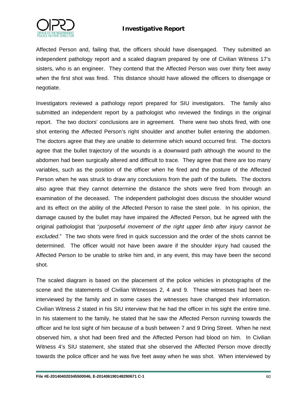

Affected Person and, failing that, the officers should have disengaged. They submitted an independent pathology report and a scaled diagram prepared by one of Civilian Witness 17's sisters, who is an engineer. They contend that the Affected Person was over thirty feet away when the first shot was fired. This distance should have allowed the officers to disengage or negotiate.

Investigators reviewed a pathology report prepared for SIU investigators. The family also submitted an independent report by a pathologist who reviewed the findings in the original report. The two doctors' conclusions are in agreement. There were two shots fired, with one shot entering the Affected Person's right shoulder and another bullet entering the abdomen. The doctors agree that they are unable to determine which wound occurred first. The doctors agree that the bullet trajectory of the wounds is a downward path although the wound to the abdomen had been surgically altered and difficult to trace. They agree that there are too many variables, such as the position of the officer when he fired and the posture of the Affected Person when he was struck to draw any conclusions from the path of the bullets. The doctors also agree that they cannot determine the distance the shots were fired from through an examination of the deceased. The independent pathologist does discuss the shoulder wound and its effect on the ability of the Affected Person to raise the steel pole. In his opinion, the damage caused by the bullet may have impaired the Affected Person, but he agreed with the original pathologist that "*purposeful movement of the right upper limb after injury cannot be excluded*." The two shots were fired in quick succession and the order of the shots cannot be determined. The officer would not have been aware if the shoulder injury had caused the Affected Person to be unable to strike him and, in any event, this may have been the second shot.

The scaled diagram is based on the placement of the police vehicles in photographs of the scene and the statements of Civilian Witnesses 2, 4 and 9. These witnesses had been reinterviewed by the family and in some cases the witnesses have changed their information. Civilian Witness 2 stated in his SIU interview that he had the officer in his sight the entire time. In his statement to the family, he stated that he saw the Affected Person running towards the officer and he lost sight of him because of a bush between 7 and 9 Dring Street. When he next observed him, a shot had been fired and the Affected Person had blood on him. In Civilian Witness 4's SIU statement, she stated that she observed the Affected Person move directly towards the police officer and he was five feet away when he was shot. When interviewed by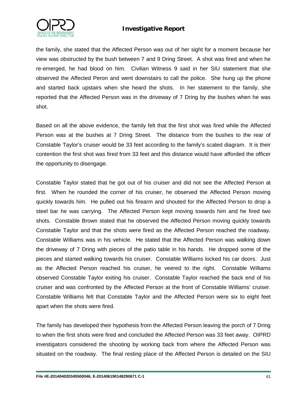

the family, she stated that the Affected Person was out of her sight for a moment because her view was obstructed by the bush between 7 and 9 Dring Street. A shot was fired and when he re-emerged, he had blood on him. Civilian Witness 9 said in her SIU statement that she observed the Affected Peron and went downstairs to call the police. She hung up the phone and started back upstairs when she heard the shots. In her statement to the family, she reported that the Affected Person was in the driveway of 7 Dring by the bushes when he was shot.

Based on all the above evidence, the family felt that the first shot was fired while the Affected Person was at the bushes at 7 Dring Street. The distance from the bushes to the rear of Constable Taylor's cruiser would be 33 feet according to the family's scaled diagram. It is their contention the first shot was fired from 33 feet and this distance would have afforded the officer the opportunity to disengage.

Constable Taylor stated that he got out of his cruiser and did not see the Affected Person at first. When he rounded the corner of his cruiser, he observed the Affected Person moving quickly towards him. He pulled out his firearm and shouted for the Affected Person to drop a steel bar he was carrying. The Affected Person kept moving towards him and he fired two shots. Constable Brown stated that he observed the Affected Person moving quickly towards Constable Taylor and that the shots were fired as the Affected Person reached the roadway. Constable Williams was in his vehicle. He stated that the Affected Person was walking down the driveway of 7 Dring with pieces of the patio table in his hands. He dropped some of the pieces and started walking towards his cruiser. Constable Williams locked his car doors. Just as the Affected Person reached his cruiser, he veered to the right. Constable Williams observed Constable Taylor exiting his cruiser. Constable Taylor reached the back end of his cruiser and was confronted by the Affected Person at the front of Constable Williams' cruiser. Constable Williams felt that Constable Taylor and the Affected Person were six to eight feet apart when the shots were fired.

The family has developed their hypothesis from the Affected Person leaving the porch of 7 Dring to when the first shots were fired and concluded the Affected Person was 33 feet away. OIPRD investigators considered the shooting by working back from where the Affected Person was situated on the roadway. The final resting place of the Affected Person is detailed on the SIU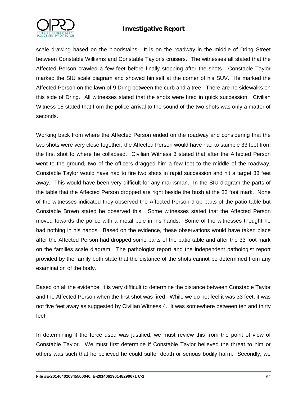

scale drawing based on the bloodstains. It is on the roadway in the middle of Dring Street between Constable Williams and Constable Taylor's cruisers. The witnesses all stated that the Affected Person crawled a few feet before finally stopping after the shots. Constable Taylor marked the SIU scale diagram and showed himself at the corner of his SUV. He marked the Affected Person on the lawn of 9 Dring between the curb and a tree. There are no sidewalks on this side of Dring. All witnesses stated that the shots were fired in quick succession. Civilian Witness 18 stated that from the police arrival to the sound of the two shots was only a matter of seconds.

Working back from where the Affected Person ended on the roadway and considering that the two shots were very close together, the Affected Person would have had to stumble 33 feet from the first shot to where he collapsed. Civilian Witness 3 stated that after the Affected Person went to the ground, two of the officers dragged him a few feet to the middle of the roadway. Constable Taylor would have had to fire two shots in rapid succession and hit a target 33 feet away. This would have been very difficult for any marksman. In the SIU diagram the parts of the table that the Affected Person dropped are right beside the bush at the 33 foot mark. None of the witnesses indicated they observed the Affected Person drop parts of the patio table but Constable Brown stated he observed this. Some witnesses stated that the Affected Person moved towards the police with a metal pole in his hands. Some of the witnesses thought he had nothing in his hands. Based on the evidence, these observations would have taken place after the Affected Person had dropped some parts of the patio table and after the 33 foot mark on the families scale diagram. The pathologist report and the independent pathologist report provided by the family both state that the distance of the shots cannot be determined from any examination of the body.

Based on all the evidence, it is very difficult to determine the distance between Constable Taylor and the Affected Person when the first shot was fired. While we do not feel it was 33 feet, it was not five feet away as suggested by Civilian Witness 4. It was somewhere between ten and thirty feet.

In determining if the force used was justified, we must review this from the point of view of Constable Taylor. We must first determine if Constable Taylor believed the threat to him or others was such that he believed he could suffer death or serious bodily harm. Secondly, we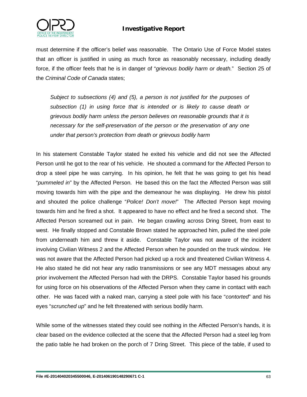

must determine if the officer's belief was reasonable. The Ontario Use of Force Model states that an officer is justified in using as much force as reasonably necessary, including deadly force, if the officer feels that he is in danger of "*grievous bodily harm or death.*" Section 25 of the *Criminal Code of Canada* states;

*Subject to subsections (4) and (5), a person is not justified for the purposes of subsection (1) in using force that is intended or is likely to cause death or grievous bodily harm unless the person believes on reasonable grounds that it is necessary for the self-preservation of the person or the preservation of any one under that person's protection from death or grievous bodily harm*

In his statement Constable Taylor stated he exited his vehicle and did not see the Affected Person until he got to the rear of his vehicle. He shouted a command for the Affected Person to drop a steel pipe he was carrying. In his opinion, he felt that he was going to get his head "*pummeled in*" by the Affected Person. He based this on the fact the Affected Person was still moving towards him with the pipe and the demeanour he was displaying. He drew his pistol and shouted the police challenge "*Police! Don't move!*" The Affected Person kept moving towards him and he fired a shot. It appeared to have no effect and he fired a second shot. The Affected Person screamed out in pain. He began crawling across Dring Street, from east to west. He finally stopped and Constable Brown stated he approached him, pulled the steel pole from underneath him and threw it aside. Constable Taylor was not aware of the incident involving Civilian Witness 2 and the Affected Person when he pounded on the truck window. He was not aware that the Affected Person had picked up a rock and threatened Civilian Witness 4. He also stated he did not hear any radio transmissions or see any MDT messages about any prior involvement the Affected Person had with the DRPS. Constable Taylor based his grounds for using force on his observations of the Affected Person when they came in contact with each other. He was faced with a naked man, carrying a steel pole with his face "*contorted*" and his eyes "*scrunched up*" and he felt threatened with serious bodily harm.

While some of the witnesses stated they could see nothing in the Affected Person's hands, it is clear based on the evidence collected at the scene that the Affected Person had a steel leg from the patio table he had broken on the porch of 7 Dring Street. This piece of the table, if used to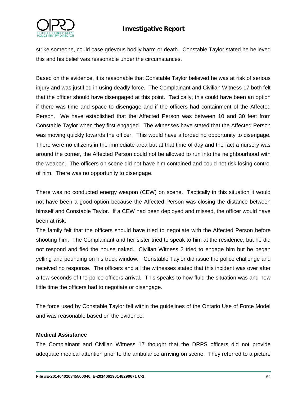

strike someone, could case grievous bodily harm or death. Constable Taylor stated he believed this and his belief was reasonable under the circumstances.

Based on the evidence, it is reasonable that Constable Taylor believed he was at risk of serious injury and was justified in using deadly force. The Complainant and Civilian Witness 17 both felt that the officer should have disengaged at this point. Tactically, this could have been an option if there was time and space to disengage and if the officers had containment of the Affected Person. We have established that the Affected Person was between 10 and 30 feet from Constable Taylor when they first engaged. The witnesses have stated that the Affected Person was moving quickly towards the officer. This would have afforded no opportunity to disengage. There were no citizens in the immediate area but at that time of day and the fact a nursery was around the corner, the Affected Person could not be allowed to run into the neighbourhood with the weapon. The officers on scene did not have him contained and could not risk losing control of him. There was no opportunity to disengage.

There was no conducted energy weapon (CEW) on scene. Tactically in this situation it would not have been a good option because the Affected Person was closing the distance between himself and Constable Taylor. If a CEW had been deployed and missed, the officer would have been at risk.

The family felt that the officers should have tried to negotiate with the Affected Person before shooting him. The Complainant and her sister tried to speak to him at the residence, but he did not respond and fled the house naked. Civilian Witness 2 tried to engage him but he began yelling and pounding on his truck window. Constable Taylor did issue the police challenge and received no response. The officers and all the witnesses stated that this incident was over after a few seconds of the police officers arrival. This speaks to how fluid the situation was and how little time the officers had to negotiate or disengage.

The force used by Constable Taylor fell within the guidelines of the Ontario Use of Force Model and was reasonable based on the evidence.

### **Medical Assistance**

The Complainant and Civilian Witness 17 thought that the DRPS officers did not provide adequate medical attention prior to the ambulance arriving on scene. They referred to a picture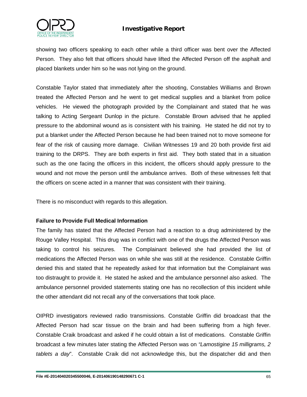

showing two officers speaking to each other while a third officer was bent over the Affected Person. They also felt that officers should have lifted the Affected Person off the asphalt and placed blankets under him so he was not lying on the ground.

Constable Taylor stated that immediately after the shooting, Constables Williams and Brown treated the Affected Person and he went to get medical supplies and a blanket from police vehicles. He viewed the photograph provided by the Complainant and stated that he was talking to Acting Sergeant Dunlop in the picture. Constable Brown advised that he applied pressure to the abdominal wound as is consistent with his training. He stated he did not try to put a blanket under the Affected Person because he had been trained not to move someone for fear of the risk of causing more damage. Civilian Witnesses 19 and 20 both provide first aid training to the DRPS. They are both experts in first aid. They both stated that in a situation such as the one facing the officers in this incident, the officers should apply pressure to the wound and not move the person until the ambulance arrives. Both of these witnesses felt that the officers on scene acted in a manner that was consistent with their training.

There is no misconduct with regards to this allegation.

#### **Failure to Provide Full Medical Information**

The family has stated that the Affected Person had a reaction to a drug administered by the Rouge Valley Hospital. This drug was in conflict with one of the drugs the Affected Person was taking to control his seizures. The Complainant believed she had provided the list of medications the Affected Person was on while she was still at the residence. Constable Griffin denied this and stated that he repeatedly asked for that information but the Complainant was too distraught to provide it. He stated he asked and the ambulance personnel also asked. The ambulance personnel provided statements stating one has no recollection of this incident while the other attendant did not recall any of the conversations that took place.

OIPRD investigators reviewed radio transmissions. Constable Griffin did broadcast that the Affected Person had scar tissue on the brain and had been suffering from a high fever. Constable Craik broadcast and asked if he could obtain a list of medications. Constable Griffin broadcast a few minutes later stating the Affected Person was on *"Lamostigine 15 milligrams, 2 tablets a day*". Constable Craik did not acknowledge this, but the dispatcher did and then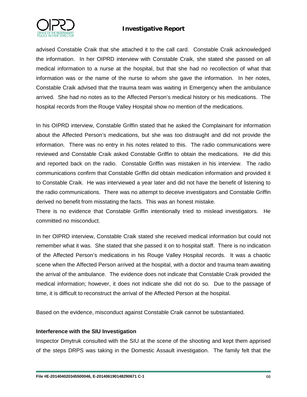

advised Constable Craik that she attached it to the call card. Constable Craik acknowledged the information. In her OIPRD interview with Constable Craik, she stated she passed on all medical information to a nurse at the hospital, but that she had no recollection of what that information was or the name of the nurse to whom she gave the information. In her notes, Constable Craik advised that the trauma team was waiting in Emergency when the ambulance arrived. She had no notes as to the Affected Person's medical history or his medications. The hospital records from the Rouge Valley Hospital show no mention of the medications.

In his OIPRD interview, Constable Griffin stated that he asked the Complainant for information about the Affected Person's medications, but she was too distraught and did not provide the information. There was no entry in his notes related to this. The radio communications were reviewed and Constable Craik asked Constable Griffin to obtain the medications. He did this and reported back on the radio. Constable Griffin was mistaken in his interview. The radio communications confirm that Constable Griffin did obtain medication information and provided it to Constable Craik. He was interviewed a year later and did not have the benefit of listening to the radio communications. There was no attempt to deceive investigators and Constable Griffin derived no benefit from misstating the facts. This was an honest mistake.

There is no evidence that Constable Griffin intentionally tried to mislead investigators. He committed no misconduct.

In her OIPRD interview, Constable Craik stated she received medical information but could not remember what it was. She stated that she passed it on to hospital staff. There is no indication of the Affected Person's medications in his Rouge Valley Hospital records. It was a chaotic scene when the Affected Person arrived at the hospital, with a doctor and trauma team awaiting the arrival of the ambulance. The evidence does not indicate that Constable Craik provided the medical information; however, it does not indicate she did not do so. Due to the passage of time, it is difficult to reconstruct the arrival of the Affected Person at the hospital.

Based on the evidence, misconduct against Constable Craik cannot be substantiated.

#### **Interference with the SIU Investigation**

Inspector Dmytruk consulted with the SIU at the scene of the shooting and kept them apprised of the steps DRPS was taking in the Domestic Assault investigation. The family felt that the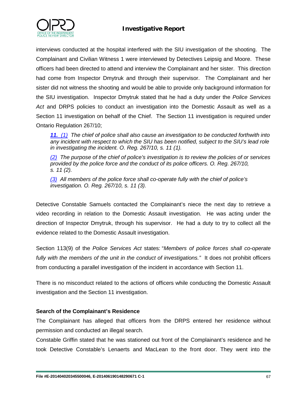



interviews conducted at the hospital interfered with the SIU investigation of the shooting. The Complainant and Civilian Witness 1 were interviewed by Detectives Leipsig and Moore. These officers had been directed to attend and interview the Complainant and her sister. This direction had come from Inspector Dmytruk and through their supervisor. The Complainant and her sister did not witness the shooting and would be able to provide only background information for the SIU investigation. Inspector Dmytruk stated that he had a duty under the *Police Services Act* and DRPS policies to conduct an investigation into the Domestic Assault as well as a Section 11 investigation on behalf of the Chief. The Section 11 investigation is required under Ontario Regulation 267/10;

*[11.](http://www.e-laws.gov.on.ca/html/regs/french/elaws_regs_100267_f.htm#s11s1) [\(1\)](http://www.e-laws.gov.on.ca/html/regs/french/elaws_regs_100267_f.htm#s11s1) The chief of police shall also cause an investigation to be conducted forthwith into any incident with respect to which the SIU has been notified, subject to the SIU's lead role in investigating the incident. O. Reg. 267/10, s. 11 (1).*

*[\(2\)](http://www.e-laws.gov.on.ca/html/regs/french/elaws_regs_100267_f.htm#s11s2) The purpose of the chief of police's investigation is to review the policies of or services provided by the police force and the conduct of its police officers. O. Reg. 267/10, s. 11 (2).*

*[\(3\)](http://www.e-laws.gov.on.ca/html/regs/french/elaws_regs_100267_f.htm#s11s3) All members of the police force shall co-operate fully with the chief of police's investigation. O. Reg. 267/10, s. 11 (3).*

Detective Constable Samuels contacted the Complainant's niece the next day to retrieve a video recording in relation to the Domestic Assault investigation. He was acting under the direction of Inspector Dmytruk, through his supervisor. He had a duty to try to collect all the evidence related to the Domestic Assault investigation.

Section 113(9) of the *Police Services Act* states: "*Members of police forces shall co-operate*  fully with the members of the unit in the conduct of investigations." It does not prohibit officers from conducting a parallel investigation of the incident in accordance with Section 11.

There is no misconduct related to the actions of officers while conducting the Domestic Assault investigation and the Section 11 investigation.

#### **Search of the Complainant's Residence**

The Complainant has alleged that officers from the DRPS entered her residence without permission and conducted an illegal search.

Constable Griffin stated that he was stationed out front of the Complainant's residence and he took Detective Constable's Lenaerts and MacLean to the front door. They went into the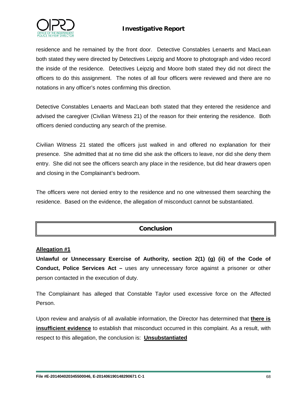

residence and he remained by the front door. Detective Constables Lenaerts and MacLean both stated they were directed by Detectives Leipzig and Moore to photograph and video record the inside of the residence. Detectives Leipzig and Moore both stated they did not direct the officers to do this assignment. The notes of all four officers were reviewed and there are no notations in any officer's notes confirming this direction.

Detective Constables Lenaerts and MacLean both stated that they entered the residence and advised the caregiver (Civilian Witness 21) of the reason for their entering the residence. Both officers denied conducting any search of the premise.

Civilian Witness 21 stated the officers just walked in and offered no explanation for their presence. She admitted that at no time did she ask the officers to leave, nor did she deny them entry. She did not see the officers search any place in the residence, but did hear drawers open and closing in the Complainant's bedroom.

The officers were not denied entry to the residence and no one witnessed them searching the residence. Based on the evidence, the allegation of misconduct cannot be substantiated.

### **Conclusion**

#### **Allegation #1**

**Unlawful or Unnecessary Exercise of Authority, section 2(1) (g) (ii) of the Code of Conduct, Police Services Act –** uses any unnecessary force against a prisoner or other person contacted in the execution of duty.

The Complainant has alleged that Constable Taylor used excessive force on the Affected Person.

Upon review and analysis of all available information, the Director has determined that **there is insufficient evidence** to establish that misconduct occurred in this complaint. As a result, with respect to this allegation, the conclusion is: **Unsubstantiated**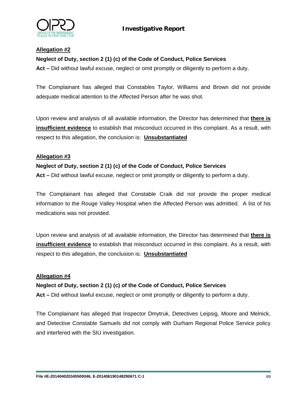

#### **Allegation #2**

#### **Neglect of Duty, section 2 (1) (c) of the Code of Conduct, Police Services**

**Act –** Did without lawful excuse, neglect or omit promptly or diligently to perform a duty.

The Complainant has alleged that Constables Taylor, Williams and Brown did not provide adequate medical attention to the Affected Person after he was shot.

Upon review and analysis of all available information, the Director has determined that **there is insufficient evidence** to establish that misconduct occurred in this complaint. As a result, with respect to this allegation, the conclusion is: **Unsubstantiated**

#### **Allegation #3**

#### **Neglect of Duty, section 2 (1) (c) of the Code of Conduct, Police Services**

**Act –** Did without lawful excuse, neglect or omit promptly or diligently to perform a duty.

The Complainant has alleged that Constable Craik did not provide the proper medical information to the Rouge Valley Hospital when the Affected Person was admitted. A list of his medications was not provided.

Upon review and analysis of all available information, the Director has determined that **there is insufficient evidence** to establish that misconduct occurred in this complaint. As a result, with respect to this allegation, the conclusion is: **Unsubstantiated**

#### **Allegation #4**

#### **Neglect of Duty, section 2 (1) (c) of the Code of Conduct, Police Services**

**Act –** Did without lawful excuse, neglect or omit promptly or diligently to perform a duty.

The Complainant has alleged that Inspector Dmytruk, Detectives Leipsig, Moore and Melnick, and Detective Constable Samuels did not comply with Durham Regional Police Service policy and interfered with the SIU investigation.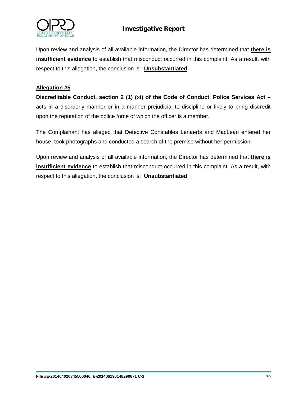

Upon review and analysis of all available information, the Director has determined that **there is insufficient evidence** to establish that misconduct occurred in this complaint. As a result, with respect to this allegation, the conclusion is: **Unsubstantiated**

#### **Allegation #5**

**Discreditable Conduct, section 2 (1) (xi) of the Code of Conduct, Police Services Act –** acts in a disorderly manner or in a manner prejudicial to discipline or likely to bring discredit upon the reputation of the police force of which the officer is a member.

The Complainant has alleged that Detective Constables Lenaerts and MacLean entered her house, took photographs and conducted a search of the premise without her permission.

Upon review and analysis of all available information, the Director has determined that **there is insufficient evidence** to establish that misconduct occurred in this complaint. As a result, with respect to this allegation, the conclusion is: **Unsubstantiated**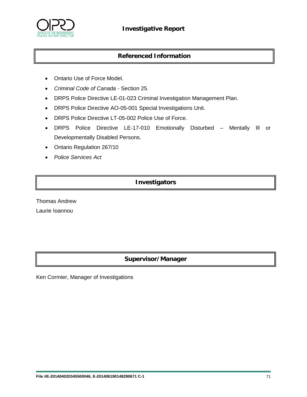

### **Referenced Information**

- Ontario Use of Force Model.
- *Criminal Code of Canada* Section 25.
- DRPS Police Directive LE-01-023 Criminal Investigation Management Plan.
- DRPS Police Directive AO-05-001 Special Investigations Unit.
- DRPS Police Directive LT-05-002 Police Use of Force.
- DRPS Police Directive LE-17-010 Emotionally Disturbed Mentally Ill or Developmentally Disabled Persons.
- Ontario Regulation 267/10
- *Police Services Act*

### **Investigators**

Thomas Andrew Laurie Ioannou

### **Supervisor/Manager**

Ken Cormier, Manager of Investigations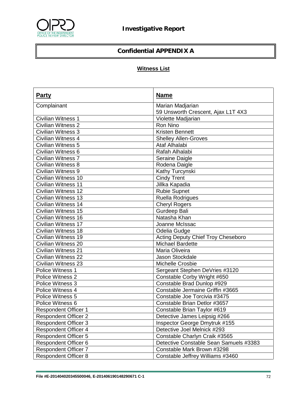

# **Confidential APPENDIX A**

# **Witness List**

| <b>Party</b>                | <b>Name</b>                               |
|-----------------------------|-------------------------------------------|
| Complainant                 | Marian Madjarian                          |
|                             | 59 Unsworth Crescent, Ajax L1T 4X3        |
| <b>Civilian Witness 1</b>   | Violette Madjarian                        |
| <b>Civilian Witness 2</b>   | Ron Nino                                  |
| Civilian Witness 3          | <b>Kristen Bennett</b>                    |
| Civilian Witness 4          | <b>Shelley Allen-Groves</b>               |
| <b>Civilian Witness 5</b>   | Ataf Alhalabi                             |
| Civilian Witness 6          | Rafah Alhalabi                            |
| <b>Civilian Witness 7</b>   | Seraine Daigle                            |
| Civilian Witness 8          | Rodena Daigle                             |
| <b>Civilian Witness 9</b>   | Kathy Turcynski                           |
| Civilian Witness 10         | <b>Cindy Trent</b>                        |
| <b>Civilian Witness 11</b>  | Jillka Kapadia                            |
| Civilian Witness 12         | <b>Rubie Supnet</b>                       |
| <b>Civilian Witness 13</b>  | <b>Ruella Rodrigues</b>                   |
| Civilian Witness 14         | <b>Cheryl Rogers</b>                      |
| <b>Civilian Witness 15</b>  | Gurdeep Bali                              |
| Civilian Witness 16         | Natasha Khan                              |
| Civilian Witness 17         | Joanne McIssac                            |
| <b>Civilian Witness 18</b>  | Odelia Gudge                              |
| Civilian Witness 19         | <b>Acting Deputy Chief Troy Cheseboro</b> |
| Civilian Witness 20         | <b>Michael Bardette</b>                   |
| <b>Civilian Witness 21</b>  | Maria Oliveira                            |
| Civilian Witness 22         | Jason Stockdale                           |
| <b>Civilian Witness 23</b>  | Michelle Crosbie                          |
| Police Witness 1            | Sergeant Stephen DeVries #3120            |
| Police Witness 2            | Constable Corby Wright #650               |
| Police Witness 3            | Constable Brad Dunlop #929                |
| Police Witness 4            | Constable Jermaine Griffin #3665          |
| Police Witness 5            | Constable Joe Torcivia #3475              |
| Police Witness 6            | Constable Brian Detlor #3657              |
| <b>Respondent Officer 1</b> | Constable Brian Taylor #619               |
| <b>Respondent Officer 2</b> | Detective James Leipsig #266              |
| <b>Respondent Officer 3</b> | Inspector George Dmytruk #155             |
| <b>Respondent Officer 4</b> | Detective Joel Melnick #293               |
| <b>Respondent Officer 5</b> | Constable Charlyn Craik #3565             |
| <b>Respondent Officer 6</b> | Detective Constable Sean Samuels #3383    |
| <b>Respondent Officer 7</b> | Constable Mark Brown #3298                |
| <b>Respondent Officer 8</b> | Constable Jeffrey Williams #3460          |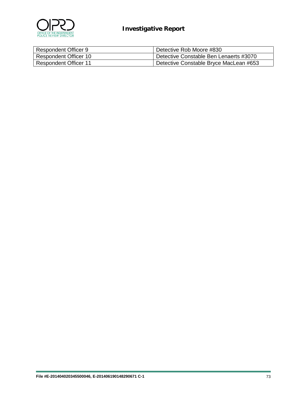

| Respondent Officer 9         | Detective Rob Moore #830               |
|------------------------------|----------------------------------------|
| Respondent Officer 10        | Detective Constable Ben Lenaerts #3070 |
| <b>Respondent Officer 11</b> | Detective Constable Bryce MacLean #653 |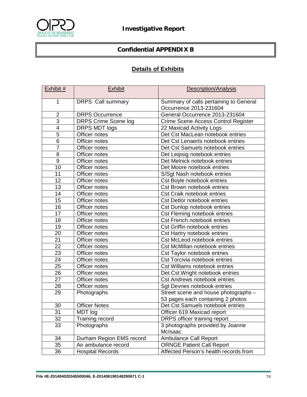

## **Confidential APPENDIX B**

## **Details of Exhibits**

| Exhibit #       | <b>Exhibit</b>              | <b>Description/Analysis</b>                                      |
|-----------------|-----------------------------|------------------------------------------------------------------|
| 1               | <b>DRPS</b> Call summary    | Summary of calls pertaining to General<br>Occurrence 2013-231604 |
| $\overline{2}$  | <b>DRPS Occurrence</b>      | General Occurrence 2013-231604                                   |
| $\overline{3}$  | <b>DRPS Crime Scene log</b> | Crime Scene Access Control Register                              |
| 4               | DRPS MDT logs               | 22 Maxicad Activity Logs                                         |
| $\overline{5}$  | Officer notes               | Det Cst MacLean notebook entries                                 |
| 6               | Officer notes               | Det Cst Lenaerts notebook entries                                |
| $\overline{7}$  | Officer notes               | Det Cst Samuels notebook entries                                 |
| 8               | Officer notes               | Det Leipsig notebook entries                                     |
| $\overline{9}$  | Officer notes               | Det Melnick notebook entries                                     |
| 10              | Officer notes               | Det Moore notebook entries                                       |
| 11              | Officer notes               | S/Sgt Nash notebook entries                                      |
| 12              | Officer notes               | Cst Boyle notebook entries                                       |
| $\overline{13}$ | Officer notes               | Cst Brown notebook entries                                       |
| 14              | Officer notes               | <b>Cst Craik notebook entries</b>                                |
| 15              | Officer notes               | <b>Cst Detlor notebook entries</b>                               |
| 16              | Officer notes               | Cst Dunlop notebook entries                                      |
| 17              | Officer notes               | Cst Fleming notebook entries                                     |
| 18              | Officer notes               | <b>Cst French notebook entries</b>                               |
| 19              | Officer notes               | Cst Griffin notebook entries                                     |
| 20              | Officer notes               | Cst Hartry notebook entries                                      |
| 21              | Officer notes               | Cst McLeod notebook entries                                      |
| $\overline{22}$ | Officer notes               | <b>Cst McMillan notebook entries</b>                             |
| 23              | Officer notes               | Cst Taylor notebook entries                                      |
| $\overline{24}$ | Officer notes               | <b>Cst Torcivia notebook entries</b>                             |
| 25              | Officer notes               | <b>Cst Williams notebook entries</b>                             |
| 26              | Officer notes               | Det Cst Wright notebook entries                                  |
| 27              | Officer notes               | <b>Cst Andrews notebook entries</b>                              |
| 28              | Officer notes               | Sgt Devries notebook entries                                     |
| 29              | Photographs                 | Street scene and house photographs -                             |
|                 |                             | 53 pages each containing 2 photos                                |
| 30              | <b>Officer Notes</b>        | Det Cst Samuels notebook entries                                 |
| 31              | MDT log                     | Officer 619 Maxicad report                                       |
| 32              | Training record             | DRPS officer training report                                     |
| 33              | Photographs                 | 3 photographs provided by Joanne<br>McIsaac                      |
| 34              | Durham Region EMS record    | Ambulance Call Report                                            |
| 35              | Air ambulance record        | <b>ORNGE Patient Call Report</b>                                 |
| 36              | <b>Hospital Records</b>     | Affected Person's health records from                            |